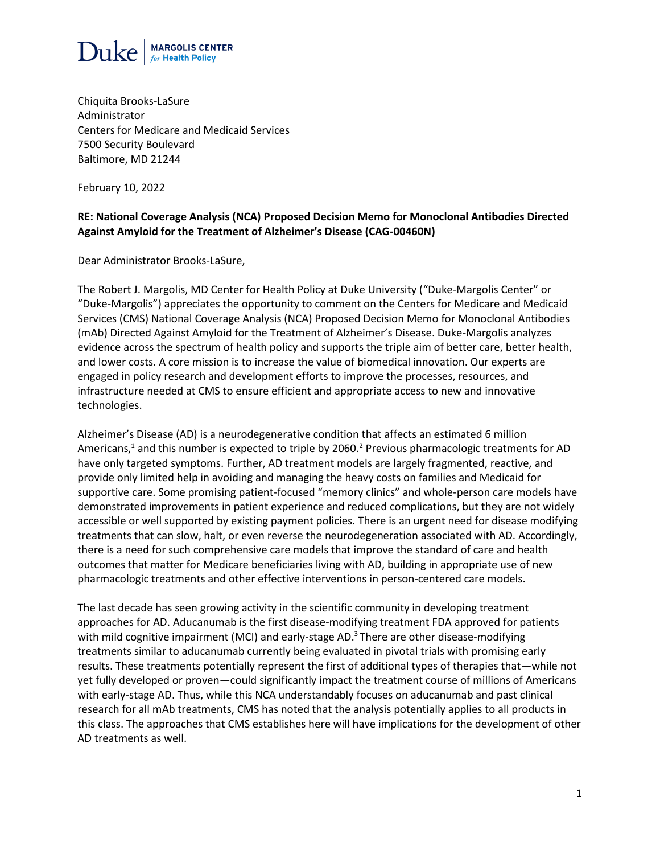

Chiquita Brooks-LaSure Administrator Centers for Medicare and Medicaid Services 7500 Security Boulevard Baltimore, MD 21244

February 10, 2022

#### **RE: National Coverage Analysis (NCA) Proposed Decision Memo for Monoclonal Antibodies Directed Against Amyloid for the Treatment of Alzheimer's Disease (CAG-00460N)**

Dear Administrator Brooks-LaSure,

The Robert J. Margolis, MD Center for Health Policy at Duke University ("Duke-Margolis Center" or "Duke-Margolis") appreciates the opportunity to comment on the Centers for Medicare and Medicaid Services (CMS) National Coverage Analysis (NCA) Proposed Decision Memo for Monoclonal Antibodies (mAb) Directed Against Amyloid for the Treatment of Alzheimer's Disease. Duke-Margolis analyzes evidence across the spectrum of health policy and supports the triple aim of better care, better health, and lower costs. A core mission is to increase the value of biomedical innovation. Our experts are engaged in policy research and development efforts to improve the processes, resources, and infrastructure needed at CMS to ensure efficient and appropriate access to new and innovative technologies.

Alzheimer's Disease (AD) is a neurodegenerative condition that affects an estimated 6 million Americans,<sup>1</sup> and this number is expected to triple by 2060.<sup>2</sup> Previous pharmacologic treatments for AD have only targeted symptoms. Further, AD treatment models are largely fragmented, reactive, and provide only limited help in avoiding and managing the heavy costs on families and Medicaid for supportive care. Some promising patient-focused "memory clinics" and whole-person care models have demonstrated improvements in patient experience and reduced complications, but they are not widely accessible or well supported by existing payment policies. There is an urgent need for disease modifying treatments that can slow, halt, or even reverse the neurodegeneration associated with AD. Accordingly, there is a need for such comprehensive care models that improve the standard of care and health outcomes that matter for Medicare beneficiaries living with AD, building in appropriate use of new pharmacologic treatments and other effective interventions in person-centered care models.

The last decade has seen growing activity in the scientific community in developing treatment approaches for AD. Aducanumab is the first disease-modifying treatment FDA approved for patients with mild cognitive impairment (MCI) and early-stage AD.<sup>3</sup> There are other disease-modifying treatments similar to aducanumab currently being evaluated in pivotal trials with promising early results. These treatments potentially represent the first of additional types of therapies that—while not yet fully developed or proven—could significantly impact the treatment course of millions of Americans with early-stage AD. Thus, while this NCA understandably focuses on aducanumab and past clinical research for all mAb treatments, CMS has noted that the analysis potentially applies to all products in this class. The approaches that CMS establishes here will have implications for the development of other AD treatments as well.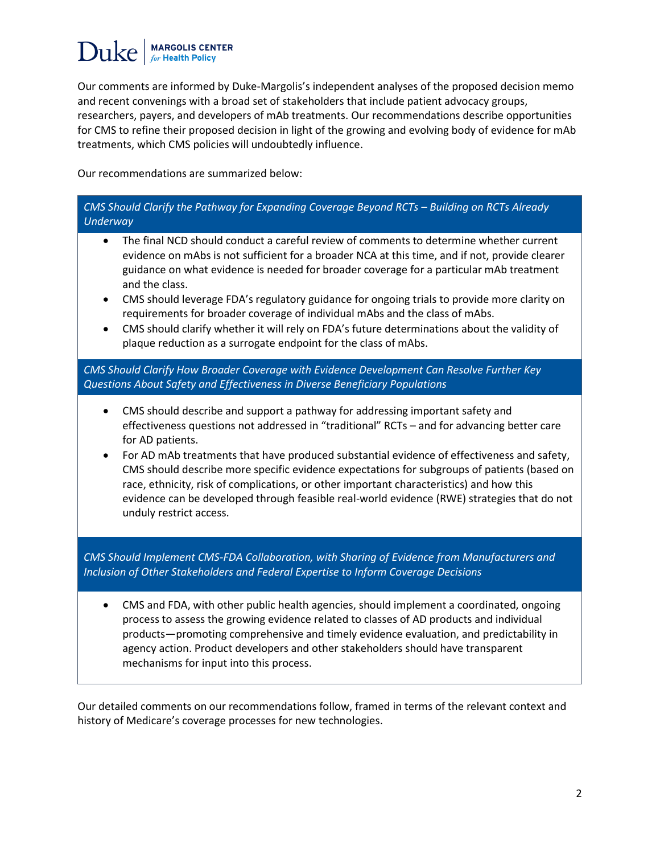Our comments are informed by Duke-Margolis's independent analyses of the proposed decision memo and recent convenings with a broad set of stakeholders that include patient advocacy groups, researchers, payers, and developers of mAb treatments. Our recommendations describe opportunities for CMS to refine their proposed decision in light of the growing and evolving body of evidence for mAb treatments, which CMS policies will undoubtedly influence.

Our recommendations are summarized below:

## *CMS Should Clarify the Pathway for Expanding Coverage Beyond RCTs – Building on RCTs Already Underway* • The final NCD should conduct a careful review of comments to determine whether current evidence on mAbs is not sufficient for a broader NCA at this time, and if not, provide clearer guidance on what evidence is needed for broader coverage for a particular mAb treatment and the class. • CMS should leverage FDA's regulatory guidance for ongoing trials to provide more clarity on requirements for broader coverage of individual mAbs and the class of mAbs. • CMS should clarify whether it will rely on FDA's future determinations about the validity of plaque reduction as a surrogate endpoint for the class of mAbs. *CMS Should Clarify How Broader Coverage with Evidence Development Can Resolve Further Key Questions About Safety and Effectiveness in Diverse Beneficiary Populations* • CMS should describe and support a pathway for addressing important safety and effectiveness questions not addressed in "traditional" RCTs – and for advancing better care for AD patients. • For AD mAb treatments that have produced substantial evidence of effectiveness and safety, CMS should describe more specific evidence expectations for subgroups of patients (based on race, ethnicity, risk of complications, or other important characteristics) and how this evidence can be developed through feasible real-world evidence (RWE) strategies that do not unduly restrict access. *CMS Should Implement CMS-FDA Collaboration, with Sharing of Evidence from Manufacturers and Inclusion of Other Stakeholders and Federal Expertise to Inform Coverage Decisions* • CMS and FDA, with other public health agencies, should implement a coordinated, ongoing process to assess the growing evidence related to classes of AD products and individual products—promoting comprehensive and timely evidence evaluation, and predictability in agency action. Product developers and other stakeholders should have transparent mechanisms for input into this process.

Our detailed comments on our recommendations follow, framed in terms of the relevant context and history of Medicare's coverage processes for new technologies.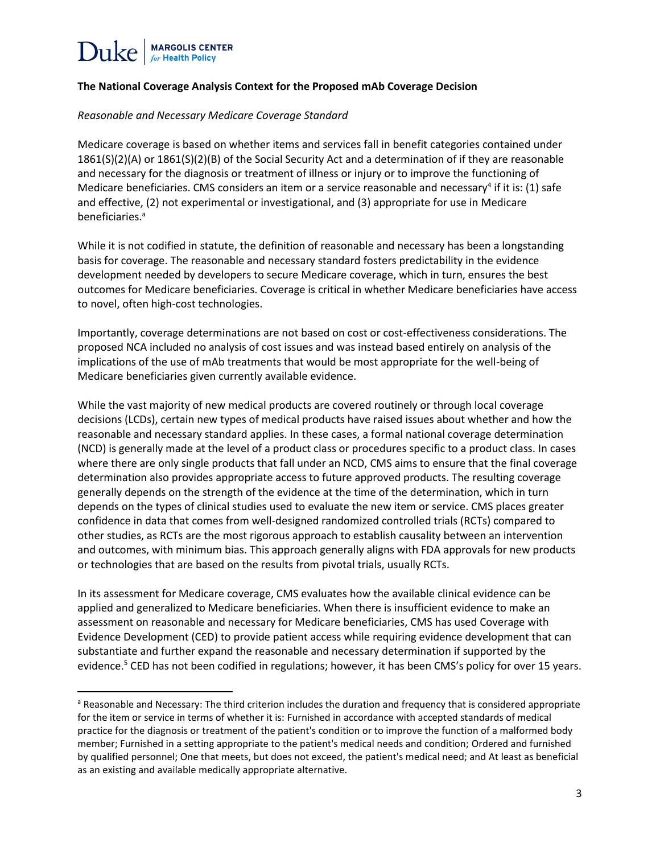l

#### **The National Coverage Analysis Context for the Proposed mAb Coverage Decision**

#### *Reasonable and Necessary Medicare Coverage Standard*

Medicare coverage is based on whether items and services fall in benefit categories contained under 1861(S)(2)(A) or 1861(S)(2)(B) of the Social Security Act and a determination of if they are reasonable and necessary for the diagnosis or treatment of illness or injury or to improve the functioning of Medicare beneficiaries. CMS considers an item or a service reasonable and necessary<sup>4</sup> if it is: (1) safe and effective, (2) not experimental or investigational, and (3) appropriate for use in Medicare beneficiaries.<sup>a</sup>

While it is not codified in statute, the definition of reasonable and necessary has been a longstanding basis for coverage. The reasonable and necessary standard fosters predictability in the evidence development needed by developers to secure Medicare coverage, which in turn, ensures the best outcomes for Medicare beneficiaries. Coverage is critical in whether Medicare beneficiaries have access to novel, often high-cost technologies.

Importantly, coverage determinations are not based on cost or cost-effectiveness considerations. The proposed NCA included no analysis of cost issues and was instead based entirely on analysis of the implications of the use of mAb treatments that would be most appropriate for the well-being of Medicare beneficiaries given currently available evidence.

While the vast majority of new medical products are covered routinely or through local coverage decisions (LCDs), certain new types of medical products have raised issues about whether and how the reasonable and necessary standard applies. In these cases, a formal national coverage determination (NCD) is generally made at the level of a product class or procedures specific to a product class. In cases where there are only single products that fall under an NCD, CMS aims to ensure that the final coverage determination also provides appropriate access to future approved products. The resulting coverage generally depends on the strength of the evidence at the time of the determination, which in turn depends on the types of clinical studies used to evaluate the new item or service. CMS places greater confidence in data that comes from well-designed randomized controlled trials (RCTs) compared to other studies, as RCTs are the most rigorous approach to establish causality between an intervention and outcomes, with minimum bias. This approach generally aligns with FDA approvals for new products or technologies that are based on the results from pivotal trials, usually RCTs.

In its assessment for Medicare coverage, CMS evaluates how the available clinical evidence can be applied and generalized to Medicare beneficiaries. When there is insufficient evidence to make an assessment on reasonable and necessary for Medicare beneficiaries, CMS has used Coverage with Evidence Development (CED) to provide patient access while requiring evidence development that can substantiate and further expand the reasonable and necessary determination if supported by the evidence.<sup>5</sup> CED has not been codified in regulations; however, it has been CMS's policy for over 15 years.

<sup>&</sup>lt;sup>a</sup> Reasonable and Necessary: The third criterion includes the duration and frequency that is considered appropriate for the item or service in terms of whether it is: Furnished in accordance with accepted standards of medical practice for the diagnosis or treatment of the patient's condition or to improve the function of a malformed body member; Furnished in a setting appropriate to the patient's medical needs and condition; Ordered and furnished by qualified personnel; One that meets, but does not exceed, the patient's medical need; and At least as beneficial as an existing and available medically appropriate alternative.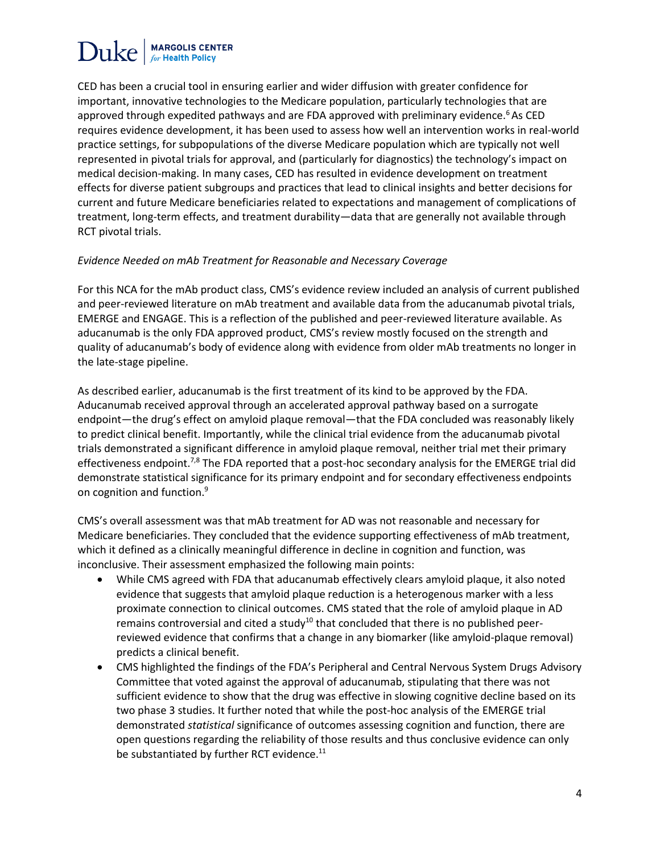CED has been a crucial tool in ensuring earlier and wider diffusion with greater confidence for important, innovative technologies to the Medicare population, particularly technologies that are approved through expedited pathways and are FDA approved with preliminary evidence.<sup>6</sup>As CED requires evidence development, it has been used to assess how well an intervention works in real-world practice settings, for subpopulations of the diverse Medicare population which are typically not well represented in pivotal trials for approval, and (particularly for diagnostics) the technology's impact on medical decision-making. In many cases, CED has resulted in evidence development on treatment effects for diverse patient subgroups and practices that lead to clinical insights and better decisions for current and future Medicare beneficiaries related to expectations and management of complications of treatment, long-term effects, and treatment durability—data that are generally not available through RCT pivotal trials.

#### *Evidence Needed on mAb Treatment for Reasonable and Necessary Coverage*

For this NCA for the mAb product class, CMS's evidence review included an analysis of current published and peer-reviewed literature on mAb treatment and available data from the aducanumab pivotal trials, EMERGE and ENGAGE. This is a reflection of the published and peer-reviewed literature available. As aducanumab is the only FDA approved product, CMS's review mostly focused on the strength and quality of aducanumab's body of evidence along with evidence from older mAb treatments no longer in the late-stage pipeline.

As described earlier, aducanumab is the first treatment of its kind to be approved by the FDA. Aducanumab received approval through an accelerated approval pathway based on a surrogate endpoint—the drug's effect on amyloid plaque removal—that the FDA concluded was reasonably likely to predict clinical benefit. Importantly, while the clinical trial evidence from the aducanumab pivotal trials demonstrated a significant difference in amyloid plaque removal, neither trial met their primary effectiveness endpoint.<sup>7,8</sup> The FDA reported that a post-hoc secondary analysis for the EMERGE trial did demonstrate statistical significance for its primary endpoint and for secondary effectiveness endpoints on cognition and function.<sup>9</sup>

CMS's overall assessment was that mAb treatment for AD was not reasonable and necessary for Medicare beneficiaries. They concluded that the evidence supporting effectiveness of mAb treatment, which it defined as a clinically meaningful difference in decline in cognition and function, was inconclusive. Their assessment emphasized the following main points:

- While CMS agreed with FDA that aducanumab effectively clears amyloid plaque, it also noted evidence that suggests that amyloid plaque reduction is a heterogenous marker with a less proximate connection to clinical outcomes. CMS stated that the role of amyloid plaque in AD remains controversial and cited a study<sup>10</sup> that concluded that there is no published peerreviewed evidence that confirms that a change in any biomarker (like amyloid-plaque removal) predicts a clinical benefit.
- CMS highlighted the findings of the FDA's Peripheral and Central Nervous System Drugs Advisory Committee that voted against the approval of aducanumab, stipulating that there was not sufficient evidence to show that the drug was effective in slowing cognitive decline based on its two phase 3 studies. It further noted that while the post-hoc analysis of the EMERGE trial demonstrated *statistical* significance of outcomes assessing cognition and function, there are open questions regarding the reliability of those results and thus conclusive evidence can only be substantiated by further RCT evidence.<sup>11</sup>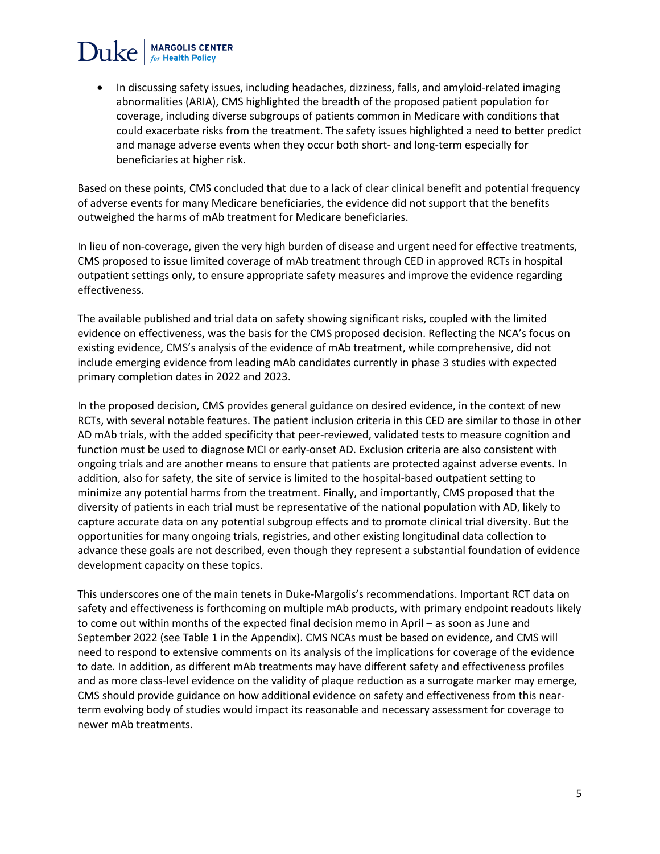# $\text{Duke}$  MARGOLIS CENTER

• In discussing safety issues, including headaches, dizziness, falls, and amyloid-related imaging abnormalities (ARIA), CMS highlighted the breadth of the proposed patient population for coverage, including diverse subgroups of patients common in Medicare with conditions that could exacerbate risks from the treatment. The safety issues highlighted a need to better predict and manage adverse events when they occur both short- and long-term especially for beneficiaries at higher risk.

Based on these points, CMS concluded that due to a lack of clear clinical benefit and potential frequency of adverse events for many Medicare beneficiaries, the evidence did not support that the benefits outweighed the harms of mAb treatment for Medicare beneficiaries.

In lieu of non-coverage, given the very high burden of disease and urgent need for effective treatments, CMS proposed to issue limited coverage of mAb treatment through CED in approved RCTs in hospital outpatient settings only, to ensure appropriate safety measures and improve the evidence regarding effectiveness.

The available published and trial data on safety showing significant risks, coupled with the limited evidence on effectiveness, was the basis for the CMS proposed decision. Reflecting the NCA's focus on existing evidence, CMS's analysis of the evidence of mAb treatment, while comprehensive, did not include emerging evidence from leading mAb candidates currently in phase 3 studies with expected primary completion dates in 2022 and 2023.

In the proposed decision, CMS provides general guidance on desired evidence, in the context of new RCTs, with several notable features. The patient inclusion criteria in this CED are similar to those in other AD mAb trials, with the added specificity that peer-reviewed, validated tests to measure cognition and function must be used to diagnose MCI or early-onset AD. Exclusion criteria are also consistent with ongoing trials and are another means to ensure that patients are protected against adverse events. In addition, also for safety, the site of service is limited to the hospital-based outpatient setting to minimize any potential harms from the treatment. Finally, and importantly, CMS proposed that the diversity of patients in each trial must be representative of the national population with AD, likely to capture accurate data on any potential subgroup effects and to promote clinical trial diversity. But the opportunities for many ongoing trials, registries, and other existing longitudinal data collection to advance these goals are not described, even though they represent a substantial foundation of evidence development capacity on these topics.

This underscores one of the main tenets in Duke-Margolis's recommendations. Important RCT data on safety and effectiveness is forthcoming on multiple mAb products, with primary endpoint readouts likely to come out within months of the expected final decision memo in April – as soon as June and September 2022 (see Table 1 in the Appendix). CMS NCAs must be based on evidence, and CMS will need to respond to extensive comments on its analysis of the implications for coverage of the evidence to date. In addition, as different mAb treatments may have different safety and effectiveness profiles and as more class-level evidence on the validity of plaque reduction as a surrogate marker may emerge, CMS should provide guidance on how additional evidence on safety and effectiveness from this nearterm evolving body of studies would impact its reasonable and necessary assessment for coverage to newer mAb treatments.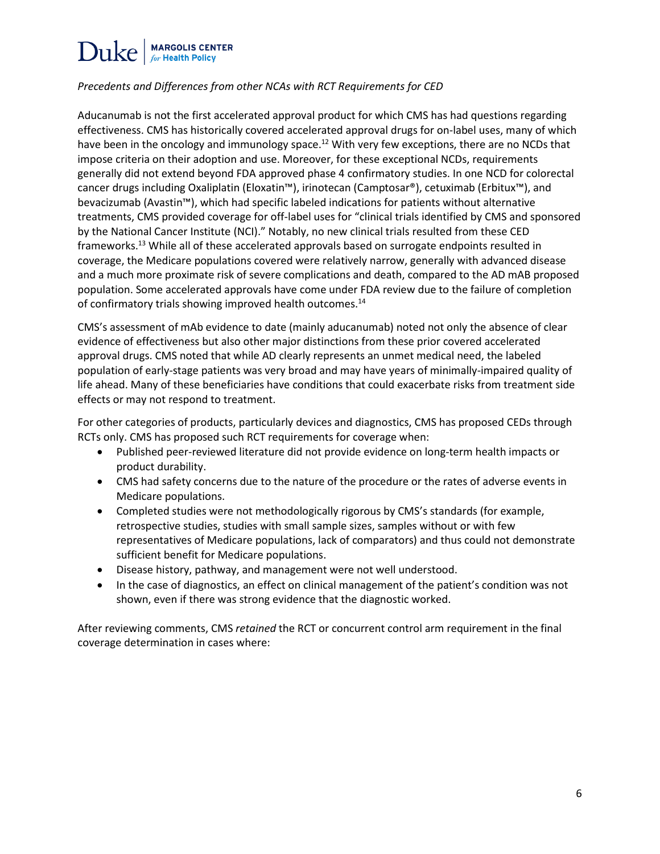### *Precedents and Differences from other NCAs with RCT Requirements for CED*

Aducanumab is not the first accelerated approval product for which CMS has had questions regarding effectiveness. CMS has historically covered accelerated approval drugs for on-label uses, many of which have been in the oncology and immunology space.<sup>12</sup> With very few exceptions, there are no NCDs that impose criteria on their adoption and use. Moreover, for these exceptional NCDs, requirements generally did not extend beyond FDA approved phase 4 confirmatory studies. In one NCD for colorectal cancer drugs including Oxaliplatin (Eloxatin™), irinotecan (Camptosar®), cetuximab (Erbitux™), and bevacizumab (Avastin™), which had specific labeled indications for patients without alternative treatments, CMS provided coverage for off-label uses for "clinical trials identified by CMS and sponsored by the National Cancer Institute (NCI)." Notably, no new clinical trials resulted from these CED frameworks. <sup>13</sup> While all of these accelerated approvals based on surrogate endpoints resulted in coverage, the Medicare populations covered were relatively narrow, generally with advanced disease and a much more proximate risk of severe complications and death, compared to the AD mAB proposed population. Some accelerated approvals have come under FDA review due to the failure of completion of confirmatory trials showing improved health outcomes.<sup>14</sup>

CMS's assessment of mAb evidence to date (mainly aducanumab) noted not only the absence of clear evidence of effectiveness but also other major distinctions from these prior covered accelerated approval drugs. CMS noted that while AD clearly represents an unmet medical need, the labeled population of early-stage patients was very broad and may have years of minimally-impaired quality of life ahead. Many of these beneficiaries have conditions that could exacerbate risks from treatment side effects or may not respond to treatment.

For other categories of products, particularly devices and diagnostics, CMS has proposed CEDs through RCTs only. CMS has proposed such RCT requirements for coverage when:

- Published peer-reviewed literature did not provide evidence on long-term health impacts or product durability.
- CMS had safety concerns due to the nature of the procedure or the rates of adverse events in Medicare populations.
- Completed studies were not methodologically rigorous by CMS's standards (for example, retrospective studies, studies with small sample sizes, samples without or with few representatives of Medicare populations, lack of comparators) and thus could not demonstrate sufficient benefit for Medicare populations.
- Disease history, pathway, and management were not well understood.
- In the case of diagnostics, an effect on clinical management of the patient's condition was not shown, even if there was strong evidence that the diagnostic worked.

After reviewing comments, CMS *retained* the RCT or concurrent control arm requirement in the final coverage determination in cases where: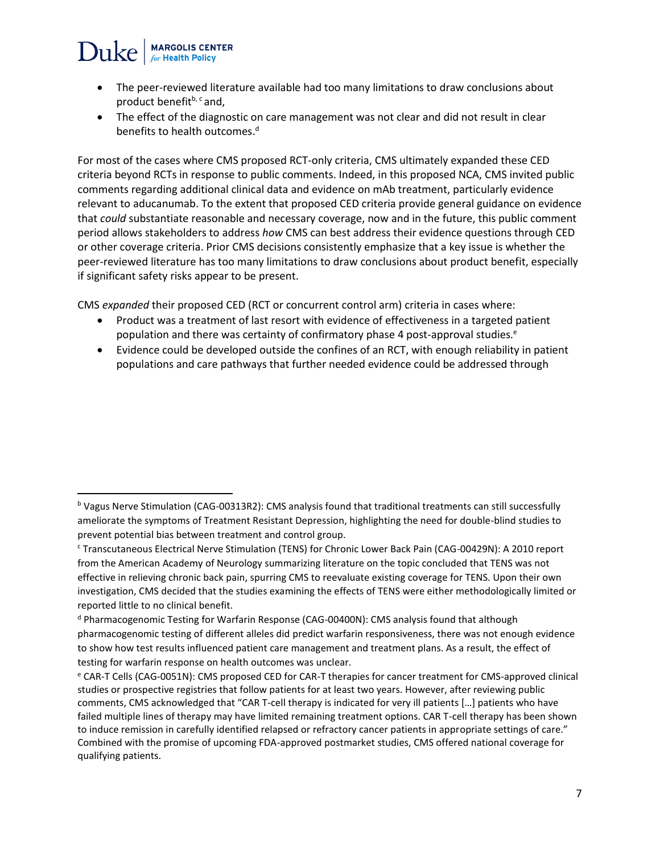### **MARGOLIS CENTER**  $Duke$

l

- The peer-reviewed literature available had too many limitations to draw conclusions about product benefit<sup>b, c</sup> and,
- The effect of the diagnostic on care management was not clear and did not result in clear benefits to health outcomes.<sup>d</sup>

For most of the cases where CMS proposed RCT-only criteria, CMS ultimately expanded these CED criteria beyond RCTs in response to public comments. Indeed, in this proposed NCA, CMS invited public comments regarding additional clinical data and evidence on mAb treatment, particularly evidence relevant to aducanumab. To the extent that proposed CED criteria provide general guidance on evidence that *could* substantiate reasonable and necessary coverage, now and in the future, this public comment period allows stakeholders to address *how* CMS can best address their evidence questions through CED or other coverage criteria. Prior CMS decisions consistently emphasize that a key issue is whether the peer-reviewed literature has too many limitations to draw conclusions about product benefit, especially if significant safety risks appear to be present.

CMS *expanded* their proposed CED (RCT or concurrent control arm) criteria in cases where:

- Product was a treatment of last resort with evidence of effectiveness in a targeted patient population and there was certainty of confirmatory phase 4 post-approval studies.<sup>e</sup>
- Evidence could be developed outside the confines of an RCT, with enough reliability in patient populations and care pathways that further needed evidence could be addressed through

<sup>b</sup> Vagus Nerve Stimulation (CAG-00313R2): CMS analysis found that traditional treatments can still successfully ameliorate the symptoms of Treatment Resistant Depression, highlighting the need for double-blind studies to prevent potential bias between treatment and control group.

<sup>c</sup> Transcutaneous Electrical Nerve Stimulation (TENS) for Chronic Lower Back Pain (CAG-00429N): A 2010 report from the American Academy of Neurology summarizing literature on the topic concluded that TENS was not effective in relieving chronic back pain, spurring CMS to reevaluate existing coverage for TENS. Upon their own investigation, CMS decided that the studies examining the effects of TENS were either methodologically limited or reported little to no clinical benefit.

<sup>d</sup> Pharmacogenomic Testing for Warfarin Response (CAG-00400N): CMS analysis found that although pharmacogenomic testing of different alleles did predict warfarin responsiveness, there was not enough evidence to show how test results influenced patient care management and treatment plans. As a result, the effect of testing for warfarin response on health outcomes was unclear.

<sup>e</sup> CAR-T Cells (CAG-0051N): CMS proposed CED for CAR-T therapies for cancer treatment for CMS-approved clinical studies or prospective registries that follow patients for at least two years. However, after reviewing public comments, CMS acknowledged that "CAR T-cell therapy is indicated for very ill patients […] patients who have failed multiple lines of therapy may have limited remaining treatment options. CAR T-cell therapy has been shown to induce remission in carefully identified relapsed or refractory cancer patients in appropriate settings of care." Combined with the promise of upcoming FDA-approved postmarket studies, CMS offered national coverage for qualifying patients.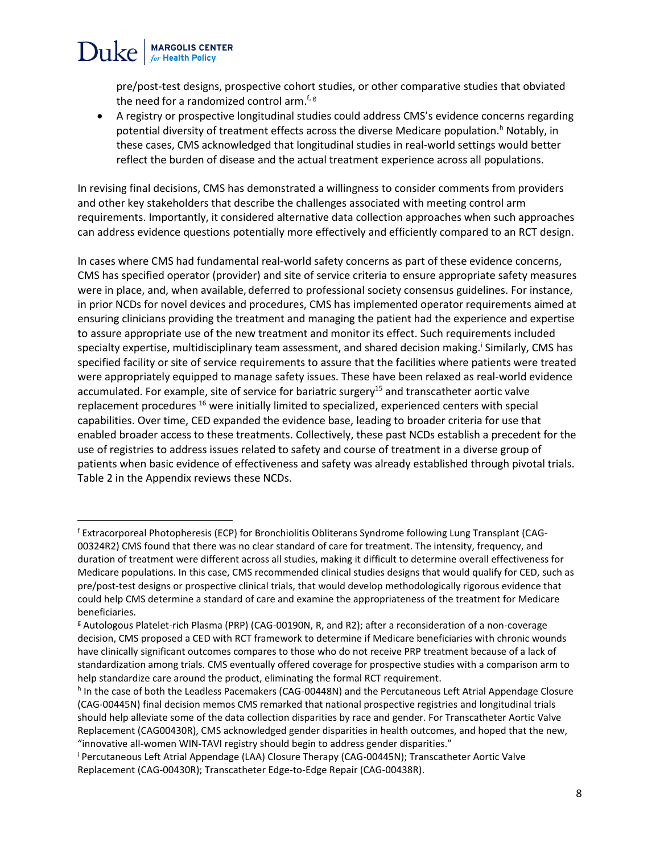pre/post-test designs, prospective cohort studies, or other comparative studies that obviated the need for a randomized control arm.<sup> $f, g$ </sup>

**MARGOLIS CENTER** 

Duke

• A registry or prospective longitudinal studies could address CMS's evidence concerns regarding potential diversity of treatment effects across the diverse Medicare population.<sup>h</sup> Notably, in these cases, CMS acknowledged that longitudinal studies in real-world settings would better reflect the burden of disease and the actual treatment experience across all populations.

In revising final decisions, CMS has demonstrated a willingness to consider comments from providers and other key stakeholders that describe the challenges associated with meeting control arm requirements. Importantly, it considered alternative data collection approaches when such approaches can address evidence questions potentially more effectively and efficiently compared to an RCT design.

In cases where CMS had fundamental real-world safety concerns as part of these evidence concerns, CMS has specified operator (provider) and site of service criteria to ensure appropriate safety measures were in place, and, when available, deferred to professional society consensus guidelines. For instance, in prior NCDs for novel devices and procedures, CMS has implemented operator requirements aimed at ensuring clinicians providing the treatment and managing the patient had the experience and expertise to assure appropriate use of the new treatment and monitor its effect. Such requirements included specialty expertise, multidisciplinary team assessment, and shared decision making.<sup>i</sup> Similarly, CMS has specified facility or site of service requirements to assure that the facilities where patients were treated were appropriately equipped to manage safety issues. These have been relaxed as real-world evidence accumulated. For example, site of service for bariatric surgery<sup>15</sup> and transcatheter aortic valve replacement procedures <sup>16</sup> were initially limited to specialized, experienced centers with special capabilities. Over time, CED expanded the evidence base, leading to broader criteria for use that enabled broader access to these treatments. Collectively, these past NCDs establish a precedent for the use of registries to address issues related to safety and course of treatment in a diverse group of patients when basic evidence of effectiveness and safety was already established through pivotal trials. Table 2 in the Appendix reviews these NCDs.

 $\overline{\phantom{a}}$ 

<sup>f</sup> Extracorporeal Photopheresis (ECP) for Bronchiolitis Obliterans Syndrome following Lung Transplant (CAG-00324R2) CMS found that there was no clear standard of care for treatment. The intensity, frequency, and duration of treatment were different across all studies, making it difficult to determine overall effectiveness for Medicare populations. In this case, CMS recommended clinical studies designs that would qualify for CED, such as pre/post-test designs or prospective clinical trials, that would develop methodologically rigorous evidence that could help CMS determine a standard of care and examine the appropriateness of the treatment for Medicare beneficiaries.

<sup>g</sup> Autologous Platelet-rich Plasma (PRP) (CAG-00190N, R, and R2); after a reconsideration of a non-coverage decision, CMS proposed a CED with RCT framework to determine if Medicare beneficiaries with chronic wounds have clinically significant outcomes compares to those who do not receive PRP treatment because of a lack of standardization among trials. CMS eventually offered coverage for prospective studies with a comparison arm to help standardize care around the product, eliminating the formal RCT requirement.

h In the case of both the Leadless Pacemakers (CAG-00448N) and the Percutaneous Left Atrial Appendage Closure (CAG-00445N) final decision memos CMS remarked that national prospective registries and longitudinal trials should help alleviate some of the data collection disparities by race and gender. For Transcatheter Aortic Valve Replacement (CAG00430R), CMS acknowledged gender disparities in health outcomes, and hoped that the new, "innovative all-women WIN-TAVI registry should begin to address gender disparities."

<sup>i</sup> Percutaneous Left Atrial Appendage (LAA) Closure Therapy (CAG-00445N); Transcatheter Aortic Valve Replacement (CAG-00430R); Transcatheter Edge-to-Edge Repair (CAG-00438R).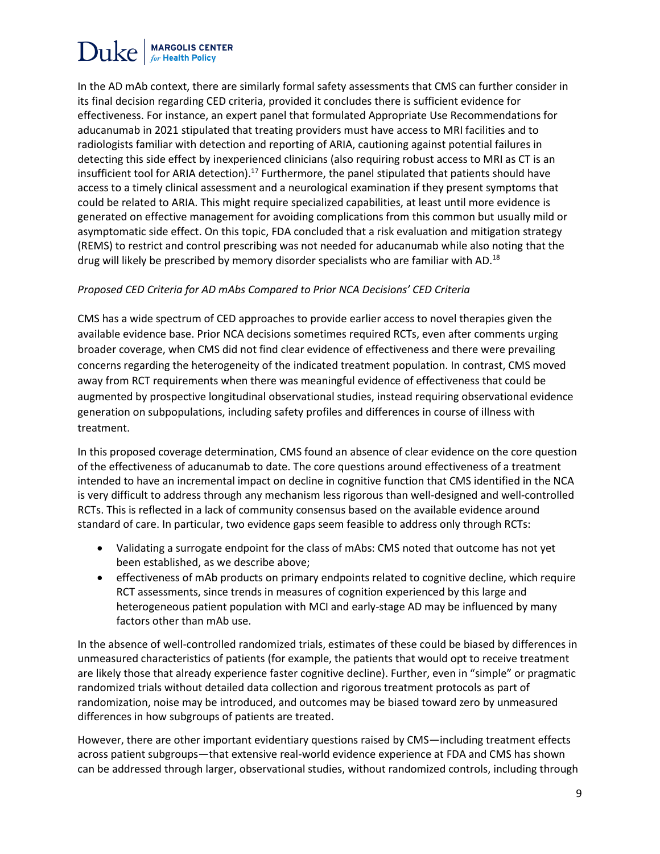### **MARGOLIS CENTER** Duke

In the AD mAb context, there are similarly formal safety assessments that CMS can further consider in its final decision regarding CED criteria, provided it concludes there is sufficient evidence for effectiveness. For instance, an expert panel that formulated Appropriate Use Recommendations for aducanumab in 2021 stipulated that treating providers must have access to MRI facilities and to radiologists familiar with detection and reporting of ARIA, cautioning against potential failures in detecting this side effect by inexperienced clinicians (also requiring robust access to MRI as CT is an insufficient tool for ARIA detection).<sup>17</sup> Furthermore, the panel stipulated that patients should have access to a timely clinical assessment and a neurological examination if they present symptoms that could be related to ARIA. This might require specialized capabilities, at least until more evidence is generated on effective management for avoiding complications from this common but usually mild or asymptomatic side effect. On this topic, FDA concluded that a risk evaluation and mitigation strategy (REMS) to restrict and control prescribing was not needed for aducanumab while also noting that the drug will likely be prescribed by memory disorder specialists who are familiar with AD.<sup>18</sup>

#### *Proposed CED Criteria for AD mAbs Compared to Prior NCA Decisions' CED Criteria*

CMS has a wide spectrum of CED approaches to provide earlier access to novel therapies given the available evidence base. Prior NCA decisions sometimes required RCTs, even after comments urging broader coverage, when CMS did not find clear evidence of effectiveness and there were prevailing concerns regarding the heterogeneity of the indicated treatment population. In contrast, CMS moved away from RCT requirements when there was meaningful evidence of effectiveness that could be augmented by prospective longitudinal observational studies, instead requiring observational evidence generation on subpopulations, including safety profiles and differences in course of illness with treatment.

In this proposed coverage determination, CMS found an absence of clear evidence on the core question of the effectiveness of aducanumab to date. The core questions around effectiveness of a treatment intended to have an incremental impact on decline in cognitive function that CMS identified in the NCA is very difficult to address through any mechanism less rigorous than well-designed and well-controlled RCTs. This is reflected in a lack of community consensus based on the available evidence around standard of care. In particular, two evidence gaps seem feasible to address only through RCTs:

- Validating a surrogate endpoint for the class of mAbs: CMS noted that outcome has not yet been established, as we describe above;
- effectiveness of mAb products on primary endpoints related to cognitive decline, which require RCT assessments, since trends in measures of cognition experienced by this large and heterogeneous patient population with MCI and early-stage AD may be influenced by many factors other than mAb use.

In the absence of well-controlled randomized trials, estimates of these could be biased by differences in unmeasured characteristics of patients (for example, the patients that would opt to receive treatment are likely those that already experience faster cognitive decline). Further, even in "simple" or pragmatic randomized trials without detailed data collection and rigorous treatment protocols as part of randomization, noise may be introduced, and outcomes may be biased toward zero by unmeasured differences in how subgroups of patients are treated.

However, there are other important evidentiary questions raised by CMS—including treatment effects across patient subgroups—that extensive real-world evidence experience at FDA and CMS has shown can be addressed through larger, observational studies, without randomized controls, including through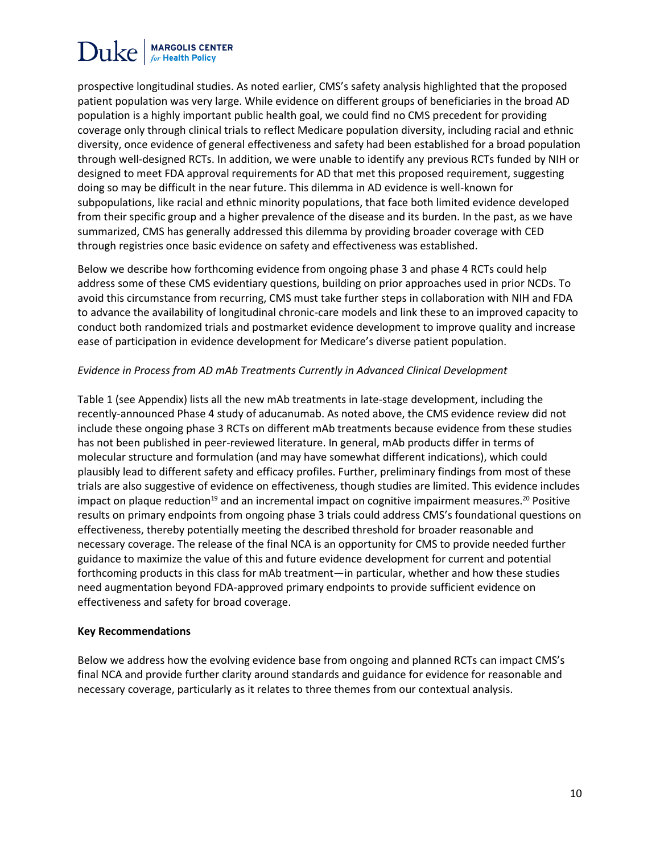prospective longitudinal studies. As noted earlier, CMS's safety analysis highlighted that the proposed patient population was very large. While evidence on different groups of beneficiaries in the broad AD population is a highly important public health goal, we could find no CMS precedent for providing coverage only through clinical trials to reflect Medicare population diversity, including racial and ethnic diversity, once evidence of general effectiveness and safety had been established for a broad population through well-designed RCTs. In addition, we were unable to identify any previous RCTs funded by NIH or designed to meet FDA approval requirements for AD that met this proposed requirement, suggesting doing so may be difficult in the near future. This dilemma in AD evidence is well-known for subpopulations, like racial and ethnic minority populations, that face both limited evidence developed from their specific group and a higher prevalence of the disease and its burden. In the past, as we have summarized, CMS has generally addressed this dilemma by providing broader coverage with CED through registries once basic evidence on safety and effectiveness was established.

Below we describe how forthcoming evidence from ongoing phase 3 and phase 4 RCTs could help address some of these CMS evidentiary questions, building on prior approaches used in prior NCDs. To avoid this circumstance from recurring, CMS must take further steps in collaboration with NIH and FDA to advance the availability of longitudinal chronic-care models and link these to an improved capacity to conduct both randomized trials and postmarket evidence development to improve quality and increase ease of participation in evidence development for Medicare's diverse patient population.

#### *Evidence in Process from AD mAb Treatments Currently in Advanced Clinical Development*

Table 1 (see Appendix) lists all the new mAb treatments in late-stage development, including the recently-announced Phase 4 study of aducanumab. As noted above, the CMS evidence review did not include these ongoing phase 3 RCTs on different mAb treatments because evidence from these studies has not been published in peer-reviewed literature. In general, mAb products differ in terms of molecular structure and formulation (and may have somewhat different indications), which could plausibly lead to different safety and efficacy profiles. Further, preliminary findings from most of these trials are also suggestive of evidence on effectiveness, though studies are limited. This evidence includes impact on plaque reduction<sup>19</sup> and an incremental impact on cognitive impairment measures.<sup>20</sup> Positive results on primary endpoints from ongoing phase 3 trials could address CMS's foundational questions on effectiveness, thereby potentially meeting the described threshold for broader reasonable and necessary coverage. The release of the final NCA is an opportunity for CMS to provide needed further guidance to maximize the value of this and future evidence development for current and potential forthcoming products in this class for mAb treatment—in particular, whether and how these studies need augmentation beyond FDA-approved primary endpoints to provide sufficient evidence on effectiveness and safety for broad coverage.

#### **Key Recommendations**

Below we address how the evolving evidence base from ongoing and planned RCTs can impact CMS's final NCA and provide further clarity around standards and guidance for evidence for reasonable and necessary coverage, particularly as it relates to three themes from our contextual analysis.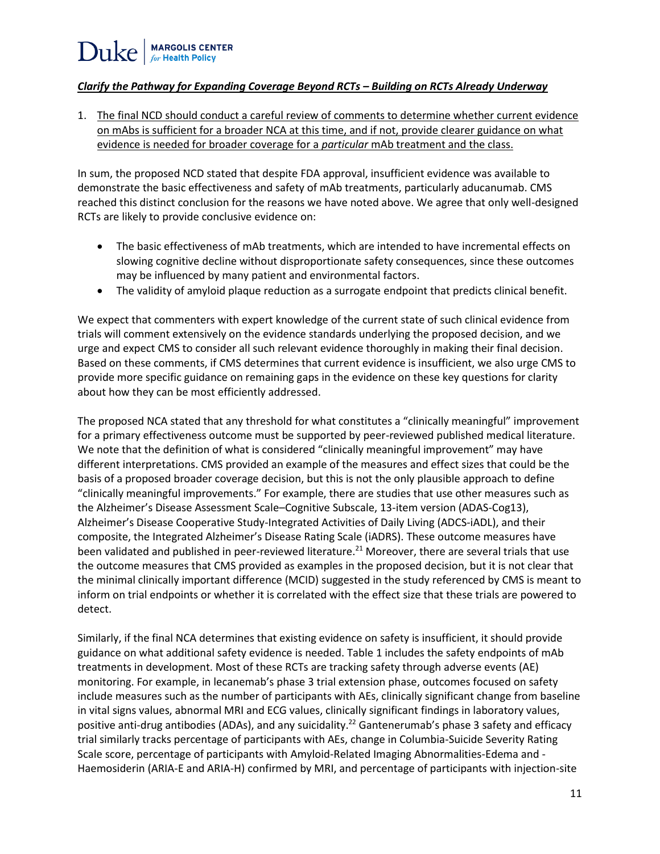### *Clarify the Pathway for Expanding Coverage Beyond RCTs – Building on RCTs Already Underway*

1. The final NCD should conduct a careful review of comments to determine whether current evidence on mAbs is sufficient for a broader NCA at this time, and if not, provide clearer guidance on what evidence is needed for broader coverage for a *particular* mAb treatment and the class.

In sum, the proposed NCD stated that despite FDA approval, insufficient evidence was available to demonstrate the basic effectiveness and safety of mAb treatments, particularly aducanumab. CMS reached this distinct conclusion for the reasons we have noted above. We agree that only well-designed RCTs are likely to provide conclusive evidence on:

- The basic effectiveness of mAb treatments, which are intended to have incremental effects on slowing cognitive decline without disproportionate safety consequences, since these outcomes may be influenced by many patient and environmental factors.
- The validity of amyloid plaque reduction as a surrogate endpoint that predicts clinical benefit.

We expect that commenters with expert knowledge of the current state of such clinical evidence from trials will comment extensively on the evidence standards underlying the proposed decision, and we urge and expect CMS to consider all such relevant evidence thoroughly in making their final decision. Based on these comments, if CMS determines that current evidence is insufficient, we also urge CMS to provide more specific guidance on remaining gaps in the evidence on these key questions for clarity about how they can be most efficiently addressed.

The proposed NCA stated that any threshold for what constitutes a "clinically meaningful" improvement for a primary effectiveness outcome must be supported by peer-reviewed published medical literature. We note that the definition of what is considered "clinically meaningful improvement" may have different interpretations. CMS provided an example of the measures and effect sizes that could be the basis of a proposed broader coverage decision, but this is not the only plausible approach to define "clinically meaningful improvements." For example, there are studies that use other measures such as the Alzheimer's Disease Assessment Scale–Cognitive Subscale, 13-item version (ADAS-Cog13), Alzheimer's Disease Cooperative Study-Integrated Activities of Daily Living (ADCS-iADL), and their composite, the Integrated Alzheimer's Disease Rating Scale (iADRS). These outcome measures have been validated and published in peer-reviewed literature.<sup>21</sup> Moreover, there are several trials that use the outcome measures that CMS provided as examples in the proposed decision, but it is not clear that the minimal clinically important difference (MCID) suggested in the study referenced by CMS is meant to inform on trial endpoints or whether it is correlated with the effect size that these trials are powered to detect.

Similarly, if the final NCA determines that existing evidence on safety is insufficient, it should provide guidance on what additional safety evidence is needed. Table 1 includes the safety endpoints of mAb treatments in development. Most of these RCTs are tracking safety through adverse events (AE) monitoring. For example, in lecanemab's phase 3 trial extension phase, outcomes focused on safety include measures such as the number of participants with AEs, clinically significant change from baseline in vital signs values, abnormal MRI and ECG values, clinically significant findings in laboratory values, positive anti-drug antibodies (ADAs), and any suicidality.<sup>22</sup> Gantenerumab's phase 3 safety and efficacy trial similarly tracks percentage of participants with AEs, change in Columbia-Suicide Severity Rating Scale score, percentage of participants with Amyloid-Related Imaging Abnormalities-Edema and - Haemosiderin (ARIA-E and ARIA-H) confirmed by MRI, and percentage of participants with injection-site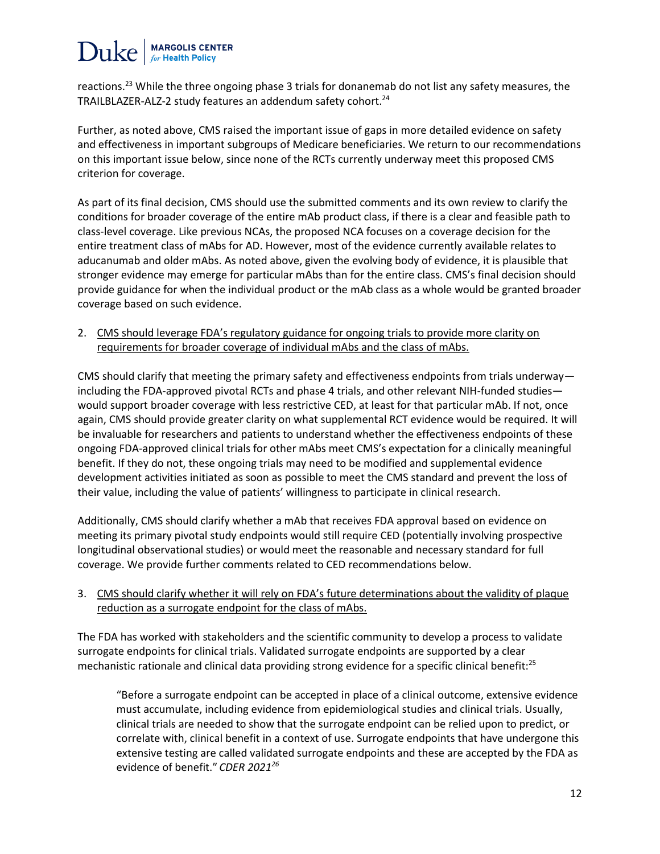# $\text{Duke}$  MARGOLIS CENTER

reactions.<sup>23</sup> While the three ongoing phase 3 trials for donanemab do not list any safety measures, the TRAILBLAZER-ALZ-2 study features an addendum safety cohort.<sup>24</sup>

Further, as noted above, CMS raised the important issue of gaps in more detailed evidence on safety and effectiveness in important subgroups of Medicare beneficiaries. We return to our recommendations on this important issue below, since none of the RCTs currently underway meet this proposed CMS criterion for coverage.

As part of its final decision, CMS should use the submitted comments and its own review to clarify the conditions for broader coverage of the entire mAb product class, if there is a clear and feasible path to class-level coverage. Like previous NCAs, the proposed NCA focuses on a coverage decision for the entire treatment class of mAbs for AD. However, most of the evidence currently available relates to aducanumab and older mAbs. As noted above, given the evolving body of evidence, it is plausible that stronger evidence may emerge for particular mAbs than for the entire class. CMS's final decision should provide guidance for when the individual product or the mAb class as a whole would be granted broader coverage based on such evidence.

2. CMS should leverage FDA's regulatory guidance for ongoing trials to provide more clarity on requirements for broader coverage of individual mAbs and the class of mAbs.

CMS should clarify that meeting the primary safety and effectiveness endpoints from trials underway including the FDA-approved pivotal RCTs and phase 4 trials, and other relevant NIH-funded studies would support broader coverage with less restrictive CED, at least for that particular mAb. If not, once again, CMS should provide greater clarity on what supplemental RCT evidence would be required. It will be invaluable for researchers and patients to understand whether the effectiveness endpoints of these ongoing FDA-approved clinical trials for other mAbs meet CMS's expectation for a clinically meaningful benefit. If they do not, these ongoing trials may need to be modified and supplemental evidence development activities initiated as soon as possible to meet the CMS standard and prevent the loss of their value, including the value of patients' willingness to participate in clinical research.

Additionally, CMS should clarify whether a mAb that receives FDA approval based on evidence on meeting its primary pivotal study endpoints would still require CED (potentially involving prospective longitudinal observational studies) or would meet the reasonable and necessary standard for full coverage. We provide further comments related to CED recommendations below.

3. CMS should clarify whether it will rely on FDA's future determinations about the validity of plaque reduction as a surrogate endpoint for the class of mAbs.

The FDA has worked with stakeholders and the scientific community to develop a process to validate surrogate endpoints for clinical trials. Validated surrogate endpoints are supported by a clear mechanistic rationale and clinical data providing strong evidence for a specific clinical benefit:<sup>25</sup>

"Before a surrogate endpoint can be accepted in place of a clinical outcome, extensive evidence must accumulate, including evidence from epidemiological studies and clinical trials. Usually, clinical trials are needed to show that the surrogate endpoint can be relied upon to predict, or correlate with, clinical benefit in a context of use. Surrogate endpoints that have undergone this extensive testing are called validated surrogate endpoints and these are accepted by the FDA as evidence of benefit." *CDER 2021<sup>26</sup>*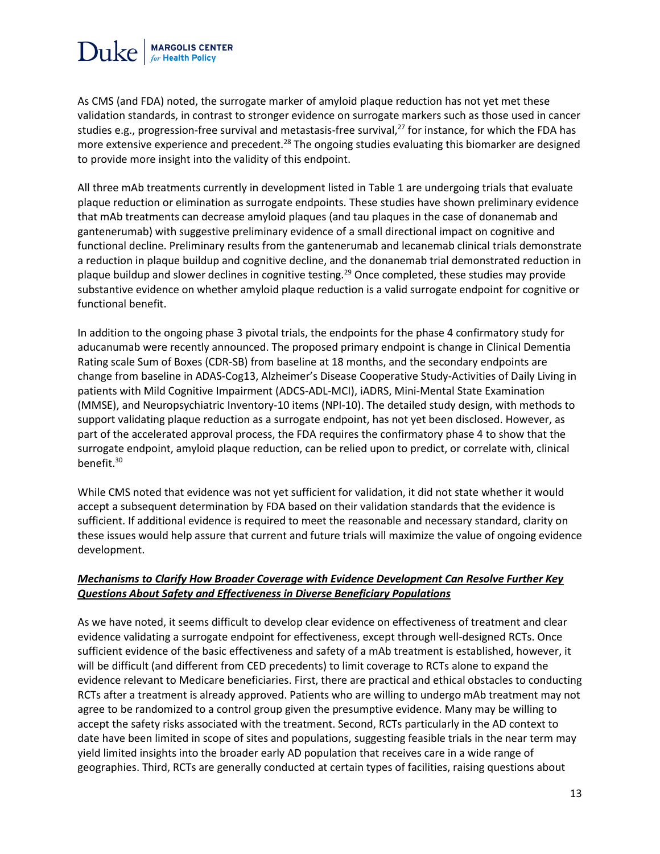

As CMS (and FDA) noted, the surrogate marker of amyloid plaque reduction has not yet met these validation standards, in contrast to stronger evidence on surrogate markers such as those used in cancer studies e.g., progression-free survival and metastasis-free survival,<sup>27</sup> for instance, for which the FDA has more extensive experience and precedent.<sup>28</sup> The ongoing studies evaluating this biomarker are designed to provide more insight into the validity of this endpoint.

All three mAb treatments currently in development listed in Table 1 are undergoing trials that evaluate plaque reduction or elimination as surrogate endpoints. These studies have shown preliminary evidence that mAb treatments can decrease amyloid plaques (and tau plaques in the case of donanemab and gantenerumab) with suggestive preliminary evidence of a small directional impact on cognitive and functional decline. Preliminary results from the gantenerumab and lecanemab clinical trials demonstrate a reduction in plaque buildup and cognitive decline, and the donanemab trial demonstrated reduction in plaque buildup and slower declines in cognitive testing.<sup>29</sup> Once completed, these studies may provide substantive evidence on whether amyloid plaque reduction is a valid surrogate endpoint for cognitive or functional benefit.

In addition to the ongoing phase 3 pivotal trials, the endpoints for the phase 4 confirmatory study for aducanumab were recently announced. The proposed primary endpoint is change in Clinical Dementia Rating scale Sum of Boxes (CDR-SB) from baseline at 18 months, and the secondary endpoints are change from baseline in ADAS-Cog13, Alzheimer's Disease Cooperative Study-Activities of Daily Living in patients with Mild Cognitive Impairment (ADCS-ADL-MCI), iADRS, Mini-Mental State Examination (MMSE), and Neuropsychiatric Inventory-10 items (NPI-10). The detailed study design, with methods to support validating plaque reduction as a surrogate endpoint, has not yet been disclosed. However, as part of the accelerated approval process, the FDA requires the confirmatory phase 4 to show that the surrogate endpoint, amyloid plaque reduction, can be relied upon to predict, or correlate with, clinical benefit.<sup>30</sup>

While CMS noted that evidence was not yet sufficient for validation, it did not state whether it would accept a subsequent determination by FDA based on their validation standards that the evidence is sufficient. If additional evidence is required to meet the reasonable and necessary standard, clarity on these issues would help assure that current and future trials will maximize the value of ongoing evidence development.

#### *Mechanisms to Clarify How Broader Coverage with Evidence Development Can Resolve Further Key Questions About Safety and Effectiveness in Diverse Beneficiary Populations*

As we have noted, it seems difficult to develop clear evidence on effectiveness of treatment and clear evidence validating a surrogate endpoint for effectiveness, except through well-designed RCTs. Once sufficient evidence of the basic effectiveness and safety of a mAb treatment is established, however, it will be difficult (and different from CED precedents) to limit coverage to RCTs alone to expand the evidence relevant to Medicare beneficiaries. First, there are practical and ethical obstacles to conducting RCTs after a treatment is already approved. Patients who are willing to undergo mAb treatment may not agree to be randomized to a control group given the presumptive evidence. Many may be willing to accept the safety risks associated with the treatment. Second, RCTs particularly in the AD context to date have been limited in scope of sites and populations, suggesting feasible trials in the near term may yield limited insights into the broader early AD population that receives care in a wide range of geographies. Third, RCTs are generally conducted at certain types of facilities, raising questions about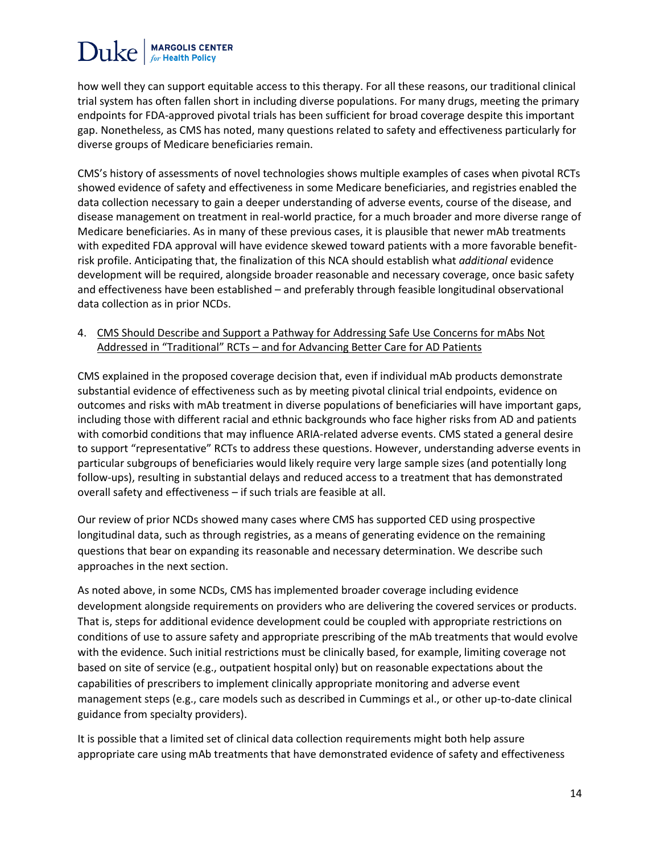### **MARGOLIS CENTER** Duke

how well they can support equitable access to this therapy. For all these reasons, our traditional clinical trial system has often fallen short in including diverse populations. For many drugs, meeting the primary endpoints for FDA-approved pivotal trials has been sufficient for broad coverage despite this important gap. Nonetheless, as CMS has noted, many questions related to safety and effectiveness particularly for diverse groups of Medicare beneficiaries remain.

CMS's history of assessments of novel technologies shows multiple examples of cases when pivotal RCTs showed evidence of safety and effectiveness in some Medicare beneficiaries, and registries enabled the data collection necessary to gain a deeper understanding of adverse events, course of the disease, and disease management on treatment in real-world practice, for a much broader and more diverse range of Medicare beneficiaries. As in many of these previous cases, it is plausible that newer mAb treatments with expedited FDA approval will have evidence skewed toward patients with a more favorable benefitrisk profile. Anticipating that, the finalization of this NCA should establish what *additional* evidence development will be required, alongside broader reasonable and necessary coverage, once basic safety and effectiveness have been established – and preferably through feasible longitudinal observational data collection as in prior NCDs.

4. CMS Should Describe and Support a Pathway for Addressing Safe Use Concerns for mAbs Not Addressed in "Traditional" RCTs – and for Advancing Better Care for AD Patients

CMS explained in the proposed coverage decision that, even if individual mAb products demonstrate substantial evidence of effectiveness such as by meeting pivotal clinical trial endpoints, evidence on outcomes and risks with mAb treatment in diverse populations of beneficiaries will have important gaps, including those with different racial and ethnic backgrounds who face higher risks from AD and patients with comorbid conditions that may influence ARIA-related adverse events. CMS stated a general desire to support "representative" RCTs to address these questions. However, understanding adverse events in particular subgroups of beneficiaries would likely require very large sample sizes (and potentially long follow-ups), resulting in substantial delays and reduced access to a treatment that has demonstrated overall safety and effectiveness – if such trials are feasible at all.

Our review of prior NCDs showed many cases where CMS has supported CED using prospective longitudinal data, such as through registries, as a means of generating evidence on the remaining questions that bear on expanding its reasonable and necessary determination. We describe such approaches in the next section.

As noted above, in some NCDs, CMS has implemented broader coverage including evidence development alongside requirements on providers who are delivering the covered services or products. That is, steps for additional evidence development could be coupled with appropriate restrictions on conditions of use to assure safety and appropriate prescribing of the mAb treatments that would evolve with the evidence. Such initial restrictions must be clinically based, for example, limiting coverage not based on site of service (e.g., outpatient hospital only) but on reasonable expectations about the capabilities of prescribers to implement clinically appropriate monitoring and adverse event management steps (e.g., care models such as described in Cummings et al., or other up-to-date clinical guidance from specialty providers).

It is possible that a limited set of clinical data collection requirements might both help assure appropriate care using mAb treatments that have demonstrated evidence of safety and effectiveness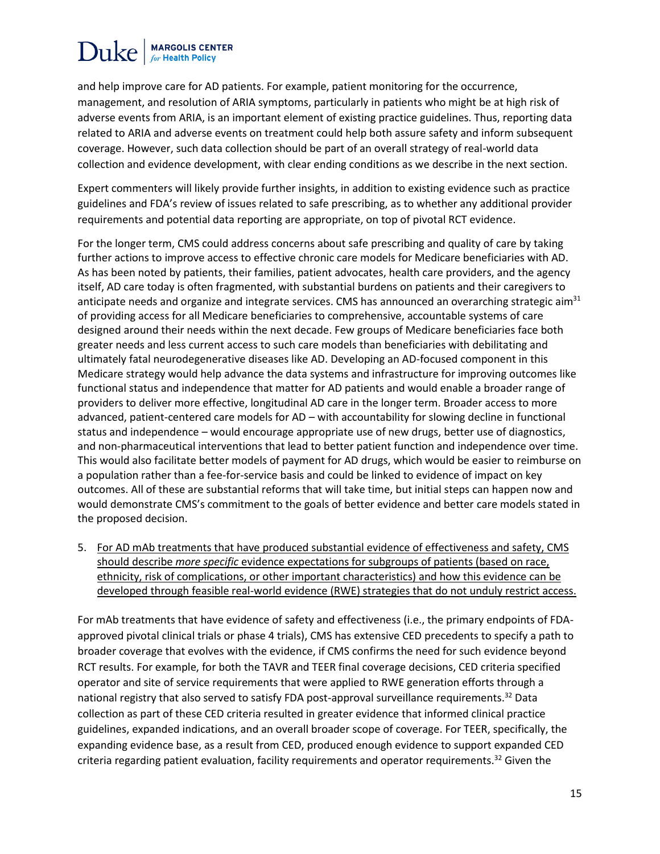## **Duke MARGOLIS CENTER**

and help improve care for AD patients. For example, patient monitoring for the occurrence, management, and resolution of ARIA symptoms, particularly in patients who might be at high risk of adverse events from ARIA, is an important element of existing practice guidelines. Thus, reporting data related to ARIA and adverse events on treatment could help both assure safety and inform subsequent coverage. However, such data collection should be part of an overall strategy of real-world data collection and evidence development, with clear ending conditions as we describe in the next section.

Expert commenters will likely provide further insights, in addition to existing evidence such as practice guidelines and FDA's review of issues related to safe prescribing, as to whether any additional provider requirements and potential data reporting are appropriate, on top of pivotal RCT evidence.

For the longer term, CMS could address concerns about safe prescribing and quality of care by taking further actions to improve access to effective chronic care models for Medicare beneficiaries with AD. As has been noted by patients, their families, patient advocates, health care providers, and the agency itself, AD care today is often fragmented, with substantial burdens on patients and their caregivers to anticipate needs and organize and integrate services. CMS has announced an overarching strategic aim<sup>31</sup> of providing access for all Medicare beneficiaries to comprehensive, accountable systems of care designed around their needs within the next decade. Few groups of Medicare beneficiaries face both greater needs and less current access to such care models than beneficiaries with debilitating and ultimately fatal neurodegenerative diseases like AD. Developing an AD-focused component in this Medicare strategy would help advance the data systems and infrastructure for improving outcomes like functional status and independence that matter for AD patients and would enable a broader range of providers to deliver more effective, longitudinal AD care in the longer term. Broader access to more advanced, patient-centered care models for AD – with accountability for slowing decline in functional status and independence – would encourage appropriate use of new drugs, better use of diagnostics, and non-pharmaceutical interventions that lead to better patient function and independence over time. This would also facilitate better models of payment for AD drugs, which would be easier to reimburse on a population rather than a fee-for-service basis and could be linked to evidence of impact on key outcomes. All of these are substantial reforms that will take time, but initial steps can happen now and would demonstrate CMS's commitment to the goals of better evidence and better care models stated in the proposed decision.

5. For AD mAb treatments that have produced substantial evidence of effectiveness and safety, CMS should describe *more specific* evidence expectations for subgroups of patients (based on race, ethnicity, risk of complications, or other important characteristics) and how this evidence can be developed through feasible real-world evidence (RWE) strategies that do not unduly restrict access.

For mAb treatments that have evidence of safety and effectiveness (i.e., the primary endpoints of FDAapproved pivotal clinical trials or phase 4 trials), CMS has extensive CED precedents to specify a path to broader coverage that evolves with the evidence, if CMS confirms the need for such evidence beyond RCT results. For example, for both the TAVR and TEER final coverage decisions, CED criteria specified operator and site of service requirements that were applied to RWE generation efforts through a national registry that also served to satisfy FDA post-approval surveillance requirements.<sup>32</sup> Data collection as part of these CED criteria resulted in greater evidence that informed clinical practice guidelines, expanded indications, and an overall broader scope of coverage. For TEER, specifically, the expanding evidence base, as a result from CED, produced enough evidence to support expanded CED criteria regarding patient evaluation, facility requirements and operator requirements.<sup>32</sup> Given the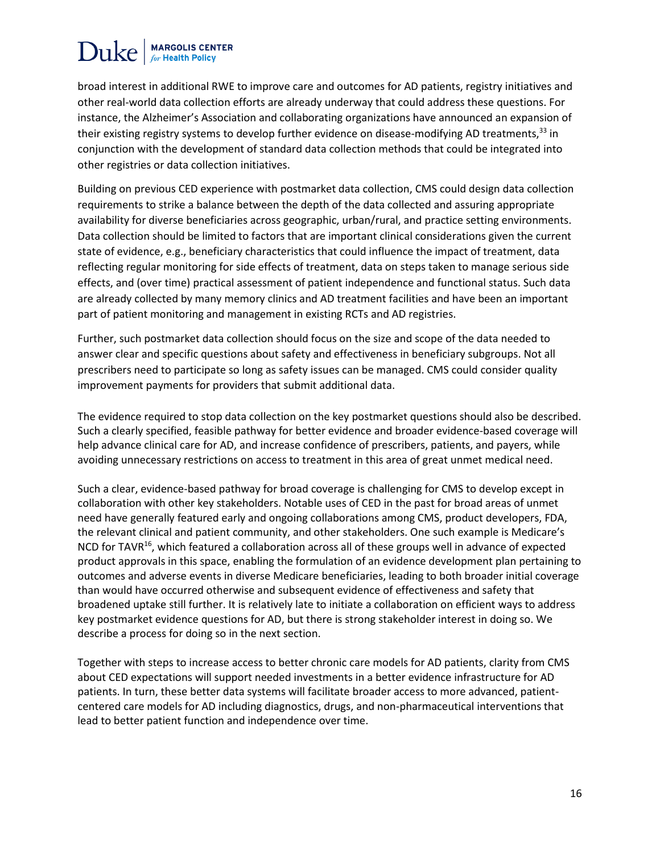broad interest in additional RWE to improve care and outcomes for AD patients, registry initiatives and other real-world data collection efforts are already underway that could address these questions. For instance, the Alzheimer's Association and collaborating organizations have announced an expansion of their existing registry systems to develop further evidence on disease-modifying AD treatments,<sup>33</sup> in conjunction with the development of standard data collection methods that could be integrated into other registries or data collection initiatives.

Building on previous CED experience with postmarket data collection, CMS could design data collection requirements to strike a balance between the depth of the data collected and assuring appropriate availability for diverse beneficiaries across geographic, urban/rural, and practice setting environments. Data collection should be limited to factors that are important clinical considerations given the current state of evidence, e.g., beneficiary characteristics that could influence the impact of treatment, data reflecting regular monitoring for side effects of treatment, data on steps taken to manage serious side effects, and (over time) practical assessment of patient independence and functional status. Such data are already collected by many memory clinics and AD treatment facilities and have been an important part of patient monitoring and management in existing RCTs and AD registries.

Further, such postmarket data collection should focus on the size and scope of the data needed to answer clear and specific questions about safety and effectiveness in beneficiary subgroups. Not all prescribers need to participate so long as safety issues can be managed. CMS could consider quality improvement payments for providers that submit additional data.

The evidence required to stop data collection on the key postmarket questions should also be described. Such a clearly specified, feasible pathway for better evidence and broader evidence-based coverage will help advance clinical care for AD, and increase confidence of prescribers, patients, and payers, while avoiding unnecessary restrictions on access to treatment in this area of great unmet medical need.

Such a clear, evidence-based pathway for broad coverage is challenging for CMS to develop except in collaboration with other key stakeholders. Notable uses of CED in the past for broad areas of unmet need have generally featured early and ongoing collaborations among CMS, product developers, FDA, the relevant clinical and patient community, and other stakeholders. One such example is Medicare's NCD for TAVR<sup>16</sup>, which featured a collaboration across all of these groups well in advance of expected product approvals in this space, enabling the formulation of an evidence development plan pertaining to outcomes and adverse events in diverse Medicare beneficiaries, leading to both broader initial coverage than would have occurred otherwise and subsequent evidence of effectiveness and safety that broadened uptake still further. It is relatively late to initiate a collaboration on efficient ways to address key postmarket evidence questions for AD, but there is strong stakeholder interest in doing so. We describe a process for doing so in the next section.

Together with steps to increase access to better chronic care models for AD patients, clarity from CMS about CED expectations will support needed investments in a better evidence infrastructure for AD patients. In turn, these better data systems will facilitate broader access to more advanced, patientcentered care models for AD including diagnostics, drugs, and non-pharmaceutical interventions that lead to better patient function and independence over time.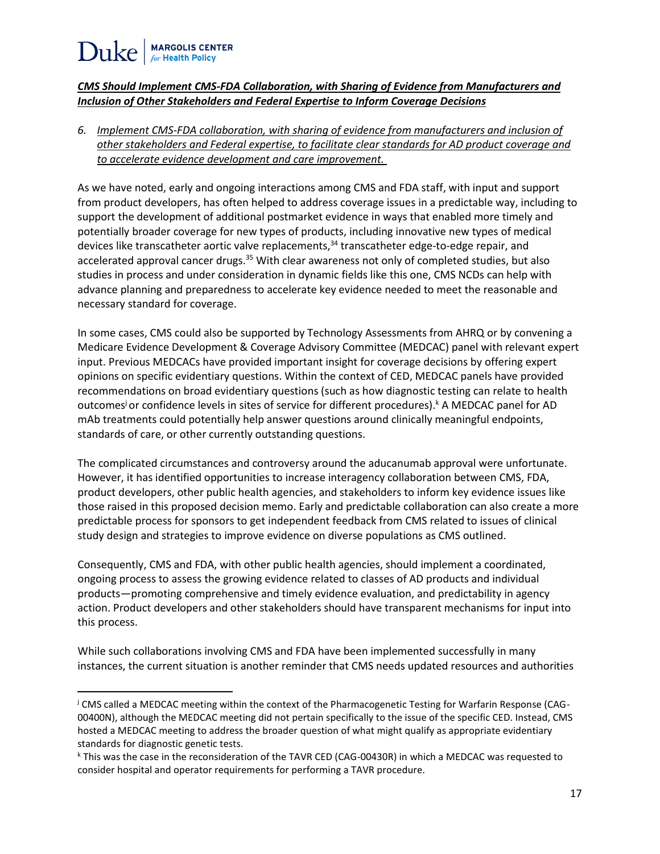l

### *CMS Should Implement CMS-FDA Collaboration, with Sharing of Evidence from Manufacturers and Inclusion of Other Stakeholders and Federal Expertise to Inform Coverage Decisions*

*6. Implement CMS-FDA collaboration, with sharing of evidence from manufacturers and inclusion of other stakeholders and Federal expertise, to facilitate clear standards for AD product coverage and to accelerate evidence development and care improvement.* 

As we have noted, early and ongoing interactions among CMS and FDA staff, with input and support from product developers, has often helped to address coverage issues in a predictable way, including to support the development of additional postmarket evidence in ways that enabled more timely and potentially broader coverage for new types of products, including innovative new types of medical devices like transcatheter aortic valve replacements,<sup>34</sup> transcatheter edge-to-edge repair, and accelerated approval cancer drugs.<sup>35</sup> With clear awareness not only of completed studies, but also studies in process and under consideration in dynamic fields like this one, CMS NCDs can help with advance planning and preparedness to accelerate key evidence needed to meet the reasonable and necessary standard for coverage.

In some cases, CMS could also be supported by Technology Assessments from AHRQ or by convening a Medicare Evidence Development & Coverage Advisory Committee (MEDCAC) panel with relevant expert input. Previous MEDCACs have provided important insight for coverage decisions by offering expert opinions on specific evidentiary questions. Within the context of CED, MEDCAC panels have provided recommendations on broad evidentiary questions (such as how diagnostic testing can relate to health outcomes<sup>j</sup> or confidence levels in sites of service for different procedures).<sup>k</sup> A MEDCAC panel for AD mAb treatments could potentially help answer questions around clinically meaningful endpoints, standards of care, or other currently outstanding questions.

The complicated circumstances and controversy around the aducanumab approval were unfortunate. However, it has identified opportunities to increase interagency collaboration between CMS, FDA, product developers, other public health agencies, and stakeholders to inform key evidence issues like those raised in this proposed decision memo. Early and predictable collaboration can also create a more predictable process for sponsors to get independent feedback from CMS related to issues of clinical study design and strategies to improve evidence on diverse populations as CMS outlined.

Consequently, CMS and FDA, with other public health agencies, should implement a coordinated, ongoing process to assess the growing evidence related to classes of AD products and individual products—promoting comprehensive and timely evidence evaluation, and predictability in agency action. Product developers and other stakeholders should have transparent mechanisms for input into this process.

While such collaborations involving CMS and FDA have been implemented successfully in many instances, the current situation is another reminder that CMS needs updated resources and authorities

<sup>j</sup> CMS called a MEDCAC meeting within the context of the Pharmacogenetic Testing for Warfarin Response (CAG-00400N), although the MEDCAC meeting did not pertain specifically to the issue of the specific CED. Instead, CMS hosted a MEDCAC meeting to address the broader question of what might qualify as appropriate evidentiary standards for diagnostic genetic tests.

<sup>k</sup> This was the case in the reconsideration of the TAVR CED (CAG-00430R) in which a MEDCAC was requested to consider hospital and operator requirements for performing a TAVR procedure.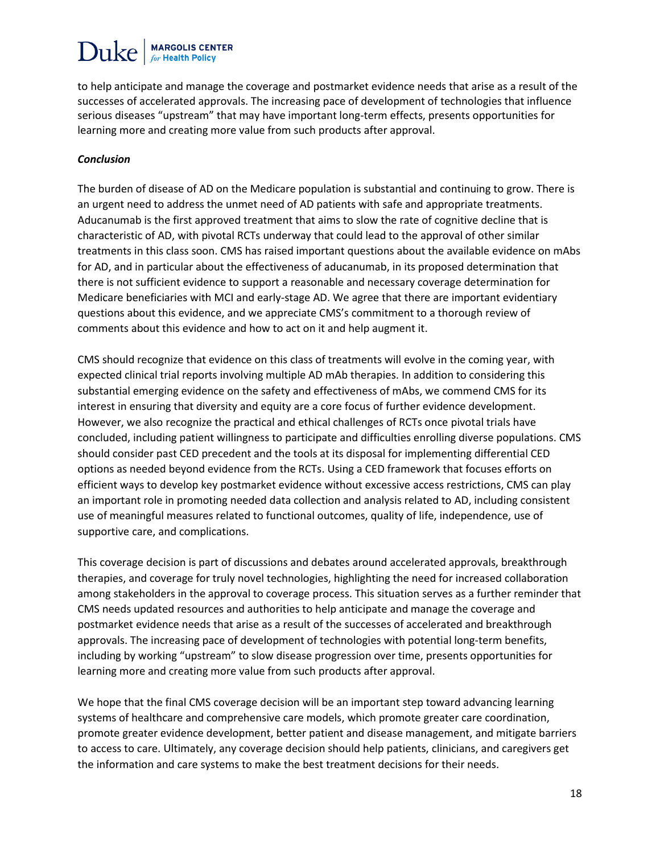## $\text{Duke}$  MARGOLIS CENTER

to help anticipate and manage the coverage and postmarket evidence needs that arise as a result of the successes of accelerated approvals. The increasing pace of development of technologies that influence serious diseases "upstream" that may have important long-term effects, presents opportunities for learning more and creating more value from such products after approval.

#### *Conclusion*

The burden of disease of AD on the Medicare population is substantial and continuing to grow. There is an urgent need to address the unmet need of AD patients with safe and appropriate treatments. Aducanumab is the first approved treatment that aims to slow the rate of cognitive decline that is characteristic of AD, with pivotal RCTs underway that could lead to the approval of other similar treatments in this class soon. CMS has raised important questions about the available evidence on mAbs for AD, and in particular about the effectiveness of aducanumab, in its proposed determination that there is not sufficient evidence to support a reasonable and necessary coverage determination for Medicare beneficiaries with MCI and early-stage AD. We agree that there are important evidentiary questions about this evidence, and we appreciate CMS's commitment to a thorough review of comments about this evidence and how to act on it and help augment it.

CMS should recognize that evidence on this class of treatments will evolve in the coming year, with expected clinical trial reports involving multiple AD mAb therapies. In addition to considering this substantial emerging evidence on the safety and effectiveness of mAbs, we commend CMS for its interest in ensuring that diversity and equity are a core focus of further evidence development. However, we also recognize the practical and ethical challenges of RCTs once pivotal trials have concluded, including patient willingness to participate and difficulties enrolling diverse populations. CMS should consider past CED precedent and the tools at its disposal for implementing differential CED options as needed beyond evidence from the RCTs. Using a CED framework that focuses efforts on efficient ways to develop key postmarket evidence without excessive access restrictions, CMS can play an important role in promoting needed data collection and analysis related to AD, including consistent use of meaningful measures related to functional outcomes, quality of life, independence, use of supportive care, and complications.

This coverage decision is part of discussions and debates around accelerated approvals, breakthrough therapies, and coverage for truly novel technologies, highlighting the need for increased collaboration among stakeholders in the approval to coverage process. This situation serves as a further reminder that CMS needs updated resources and authorities to help anticipate and manage the coverage and postmarket evidence needs that arise as a result of the successes of accelerated and breakthrough approvals. The increasing pace of development of technologies with potential long-term benefits, including by working "upstream" to slow disease progression over time, presents opportunities for learning more and creating more value from such products after approval.

We hope that the final CMS coverage decision will be an important step toward advancing learning systems of healthcare and comprehensive care models, which promote greater care coordination, promote greater evidence development, better patient and disease management, and mitigate barriers to access to care. Ultimately, any coverage decision should help patients, clinicians, and caregivers get the information and care systems to make the best treatment decisions for their needs.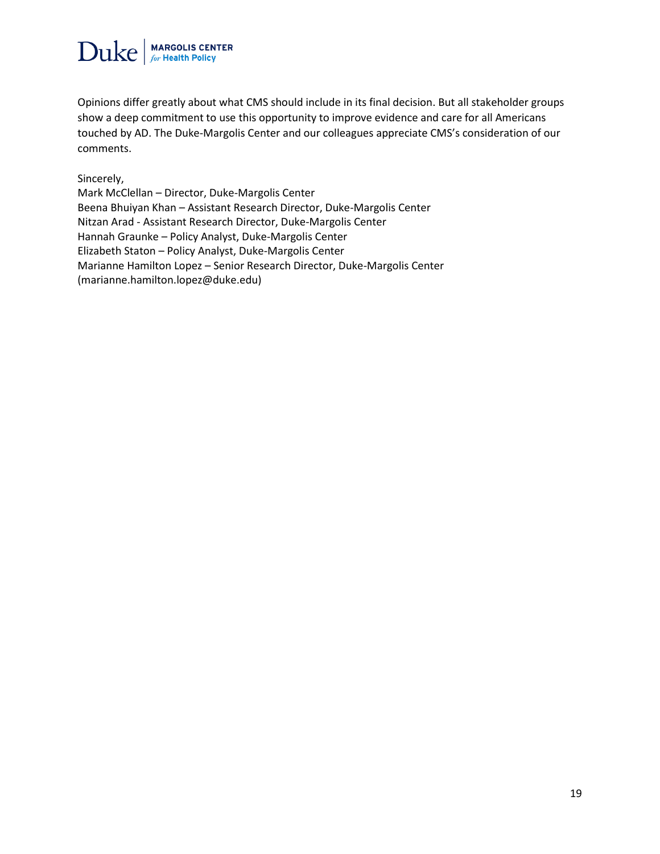

Opinions differ greatly about what CMS should include in its final decision. But all stakeholder groups show a deep commitment to use this opportunity to improve evidence and care for all Americans touched by AD. The Duke-Margolis Center and our colleagues appreciate CMS's consideration of our comments.

Sincerely,

Mark McClellan – Director, Duke-Margolis Center Beena Bhuiyan Khan – Assistant Research Director, Duke-Margolis Center Nitzan Arad - Assistant Research Director, Duke-Margolis Center Hannah Graunke – Policy Analyst, Duke-Margolis Center Elizabeth Staton – Policy Analyst, Duke-Margolis Center Marianne Hamilton Lopez – Senior Research Director, Duke-Margolis Center (marianne.hamilton.lopez@duke.edu)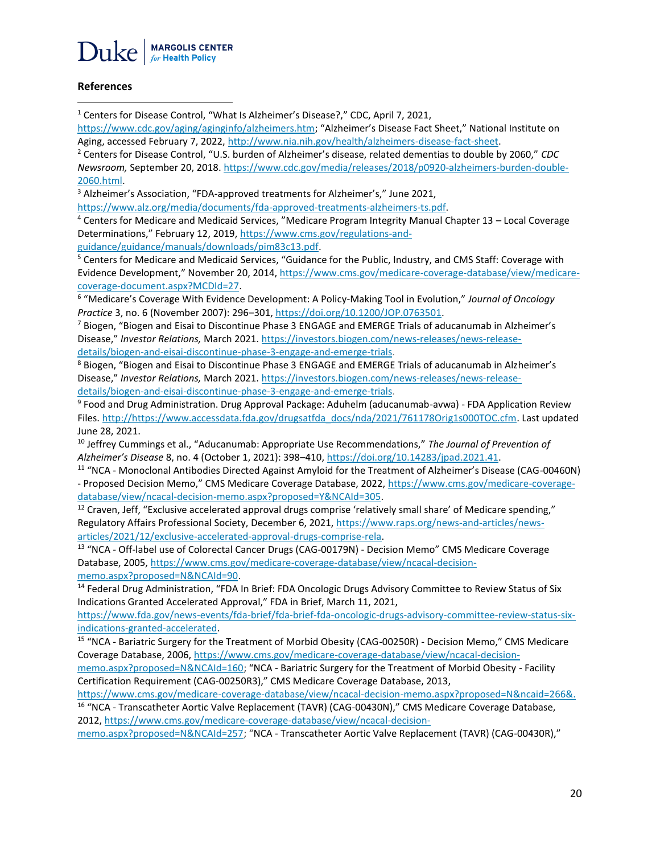

#### **References**

 $\overline{\phantom{a}}$ 

<sup>1</sup> Centers for Disease Control, "What Is Alzheimer's Disease?," CDC, April 7, 2021,

<https://www.cdc.gov/aging/aginginfo/alzheimers.htm>; "Alzheimer's Disease Fact Sheet," National Institute on Aging, accessed February 7, 2022[, http://www.nia.nih.gov/health/alzheimers-disease-fact-sheet.](http://www.nia.nih.gov/health/alzheimers-disease-fact-sheet)

<sup>2</sup> Centers for Disease Control, "U.S. burden of Alzheimer's disease, related dementias to double by 2060," *CDC Newsroom,* September 20, 2018[. https://www.cdc.gov/media/releases/2018/p0920-alzheimers-burden-double-](https://www.cdc.gov/media/releases/2018/p0920-alzheimers-burden-double-2060.html)[2060.html.](https://www.cdc.gov/media/releases/2018/p0920-alzheimers-burden-double-2060.html)

<sup>3</sup> Alzheimer's Association, "FDA-approved treatments for Alzheimer's," June 2021,

[https://www.alz.org/media/documents/fda-approved-treatments-alzheimers-ts.pdf.](https://www.alz.org/media/documents/fda-approved-treatments-alzheimers-ts.pdf)

<sup>4</sup> Centers for Medicare and Medicaid Services, "Medicare Program Integrity Manual Chapter 13 – Local Coverage Determinations," February 12, 2019, [https://www.cms.gov/regulations-and-](https://www.cms.gov/regulations-and-guidance/guidance/manuals/downloads/pim83c13.pdf)

[guidance/guidance/manuals/downloads/pim83c13.pdf.](https://www.cms.gov/regulations-and-guidance/guidance/manuals/downloads/pim83c13.pdf)

<sup>5</sup> Centers for Medicare and Medicaid Services, "Guidance for the Public, Industry, and CMS Staff: Coverage with Evidence Development," November 20, 2014[, https://www.cms.gov/medicare-coverage-database/view/medicare](https://www.cms.gov/medicare-coverage-database/view/medicare-coverage-document.aspx?MCDId=27)[coverage-document.aspx?MCDId=27.](https://www.cms.gov/medicare-coverage-database/view/medicare-coverage-document.aspx?MCDId=27)

6 "Medicare's Coverage With Evidence Development: A Policy-Making Tool in Evolution," *Journal of Oncology Practice* 3, no. 6 (November 2007): 296–301, [https://doi.org/10.1200/JOP.0763501.](https://doi.org/10.1200/JOP.0763501)

<sup>7</sup> Biogen, "Biogen and Eisai to Discontinue Phase 3 ENGAGE and EMERGE Trials of aducanumab in Alzheimer's Disease," *Investor Relations,* March 2021[. https://investors.biogen.com/news-releases/news-release](https://investors.biogen.com/news-releases/news-release-details/biogen-and-eisai-discontinue-phase-3-engage-and-emerge-trials)[details/biogen-and-eisai-discontinue-phase-3-engage-and-emerge-trials.](https://investors.biogen.com/news-releases/news-release-details/biogen-and-eisai-discontinue-phase-3-engage-and-emerge-trials)

<sup>8</sup> Biogen, "Biogen and Eisai to Discontinue Phase 3 ENGAGE and EMERGE Trials of aducanumab in Alzheimer's Disease," *Investor Relations,* March 2021[. https://investors.biogen.com/news-releases/news-release](https://investors.biogen.com/news-releases/news-release-details/biogen-and-eisai-discontinue-phase-3-engage-and-emerge-trials)[details/biogen-and-eisai-discontinue-phase-3-engage-and-emerge-trials.](https://investors.biogen.com/news-releases/news-release-details/biogen-and-eisai-discontinue-phase-3-engage-and-emerge-trials)

<sup>9</sup> Food and Drug Administration. Drug Approval Package: Aduhelm (aducanumab-avwa) - FDA Application Review Files. [http://https://www.accessdata.fda.gov/drugsatfda\\_docs/nda/2021/761178Orig1s000TOC.cfm.](http://https/www.accessdata.fda.gov/drugsatfda_docs/nda/2021/761178Orig1s000TOC.cfm) Last updated June 28, 2021.

<sup>10</sup> Jeffrey Cummings et al., "Aducanumab: Appropriate Use Recommendations," *The Journal of Prevention of Alzheimer's Disease* 8, no. 4 (October 1, 2021): 398–410[, https://doi.org/10.14283/jpad.2021.41.](https://doi.org/10.14283/jpad.2021.41)

<sup>11</sup> "NCA - Monoclonal Antibodies Directed Against Amyloid for the Treatment of Alzheimer's Disease (CAG-00460N) - Proposed Decision Memo," CMS Medicare Coverage Database, 2022, [https://www.cms.gov/medicare-coverage](https://www.cms.gov/medicare-coverage-database/view/ncacal-decision-memo.aspx?proposed=Y&NCAId=305)[database/view/ncacal-decision-memo.aspx?proposed=Y&NCAId=305.](https://www.cms.gov/medicare-coverage-database/view/ncacal-decision-memo.aspx?proposed=Y&NCAId=305)

 $12$  Craven, Jeff, "Exclusive accelerated approval drugs comprise 'relatively small share' of Medicare spending," Regulatory Affairs Professional Society, December 6, 2021, [https://www.raps.org/news-and-articles/news](https://www.raps.org/news-and-articles/news-articles/2021/12/exclusive-accelerated-approval-drugs-comprise-rela)[articles/2021/12/exclusive-accelerated-approval-drugs-comprise-rela.](https://www.raps.org/news-and-articles/news-articles/2021/12/exclusive-accelerated-approval-drugs-comprise-rela)

<sup>13</sup> "NCA - Off-label use of Colorectal Cancer Drugs (CAG-00179N) - Decision Memo" CMS Medicare Coverage Database, 2005, [https://www.cms.gov/medicare-coverage-database/view/ncacal-decision](https://www.cms.gov/medicare-coverage-database/view/ncacal-decision-memo.aspx?proposed=N&NCAId=90)[memo.aspx?proposed=N&NCAId=90.](https://www.cms.gov/medicare-coverage-database/view/ncacal-decision-memo.aspx?proposed=N&NCAId=90)

<sup>14</sup> Federal Drug Administration, "FDA In Brief: FDA Oncologic Drugs Advisory Committee to Review Status of Six Indications Granted Accelerated Approval," FDA in Brief, March 11, 2021,

[https://www.fda.gov/news-events/fda-brief/fda-brief-fda-oncologic-drugs-advisory-committee-review-status-six](https://www.fda.gov/news-events/fda-brief/fda-brief-fda-oncologic-drugs-advisory-committee-review-status-six-indications-granted-accelerated)[indications-granted-accelerated.](https://www.fda.gov/news-events/fda-brief/fda-brief-fda-oncologic-drugs-advisory-committee-review-status-six-indications-granted-accelerated)

<sup>15</sup> "NCA - Bariatric Surgery for the Treatment of Morbid Obesity (CAG-00250R) - Decision Memo," CMS Medicare Coverage Database, 2006, [https://www.cms.gov/medicare-coverage-database/view/ncacal-decision-](https://www.cms.gov/medicare-coverage-database/view/ncacal-decision-memo.aspx?proposed=N&NCAId=160)

[memo.aspx?proposed=N&NCAId=160;](https://www.cms.gov/medicare-coverage-database/view/ncacal-decision-memo.aspx?proposed=N&NCAId=160) "NCA - Bariatric Surgery for the Treatment of Morbid Obesity - Facility Certification Requirement (CAG-00250R3)," CMS Medicare Coverage Database, 2013,

<https://www.cms.gov/medicare-coverage-database/view/ncacal-decision-memo.aspx?proposed=N&ncaid=266&.> <sup>16</sup> "NCA - Transcatheter Aortic Valve Replacement (TAVR) (CAG-00430N)," CMS Medicare Coverage Database, 2012, [https://www.cms.gov/medicare-coverage-database/view/ncacal-decision-](https://www.cms.gov/medicare-coverage-database/view/ncacal-decision-memo.aspx?proposed=N&NCAId=257)

[memo.aspx?proposed=N&NCAId=257](https://www.cms.gov/medicare-coverage-database/view/ncacal-decision-memo.aspx?proposed=N&NCAId=257); "NCA - Transcatheter Aortic Valve Replacement (TAVR) (CAG-00430R),"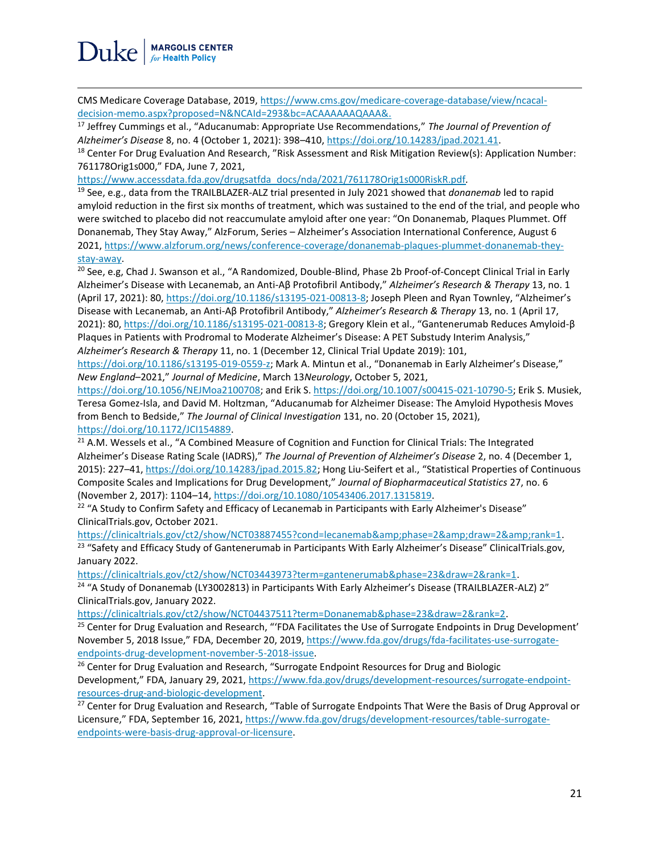CMS Medicare Coverage Database, 2019[, https://www.cms.gov/medicare-coverage-database/view/ncacal](https://www.cms.gov/medicare-coverage-database/view/ncacal-decision-memo.aspx?proposed=N&NCAId=293&bc=ACAAAAAAQAAA&)[decision-memo.aspx?proposed=N&NCAId=293&bc=ACAAAAAAQAAA&.](https://www.cms.gov/medicare-coverage-database/view/ncacal-decision-memo.aspx?proposed=N&NCAId=293&bc=ACAAAAAAQAAA&)

<sup>17</sup> Jeffrey Cummings et al., "Aducanumab: Appropriate Use Recommendations," *The Journal of Prevention of Alzheimer's Disease* 8, no. 4 (October 1, 2021): 398–410[, https://doi.org/10.14283/jpad.2021.41.](https://doi.org/10.14283/jpad.2021.41)

<sup>18</sup> Center For Drug Evaluation And Research, "Risk Assessment and Risk Mitigation Review(s): Application Number: 761178Orig1s000," FDA, June 7, 2021,

[https://www.accessdata.fda.gov/drugsatfda\\_docs/nda/2021/761178Orig1s000RiskR.pdf](https://www.accessdata.fda.gov/drugsatfda_docs/nda/2021/761178Orig1s000RiskR.pdf)*.* 

<sup>19</sup> See, e.g., data from the TRAILBLAZER-ALZ trial presented in July 2021 showed that *donanemab* led to rapid amyloid reduction in the first six months of treatment, which was sustained to the end of the trial, and people who were switched to placebo did not reaccumulate amyloid after one year: "On Donanemab, Plaques Plummet. Off Donanemab, They Stay Away," AlzForum, Series – Alzheimer's Association International Conference, August 6 2021, [https://www.alzforum.org/news/conference-coverage/donanemab-plaques-plummet-donanemab-they](https://www.alzforum.org/news/conference-coverage/donanemab-plaques-plummet-donanemab-they-stay-away)[stay-away.](https://www.alzforum.org/news/conference-coverage/donanemab-plaques-plummet-donanemab-they-stay-away)

<sup>20</sup> See, e.g, Chad J. Swanson et al., "A Randomized, Double-Blind, Phase 2b Proof-of-Concept Clinical Trial in Early Alzheimer's Disease with Lecanemab, an Anti-Aβ Protofibril Antibody," *Alzheimer's Research & Therapy* 13, no. 1 (April 17, 2021): 80, [https://doi.org/10.1186/s13195-021-00813-8;](https://doi.org/10.1186/s13195-021-00813-8) Joseph Pleen and Ryan Townley, "Alzheimer's Disease with Lecanemab, an Anti-Aβ Protofibril Antibody," *Alzheimer's Research & Therapy* 13, no. 1 (April 17, 2021): 80,<https://doi.org/10.1186/s13195-021-00813-8>; Gregory Klein et al., "Gantenerumab Reduces Amyloid-β Plaques in Patients with Prodromal to Moderate Alzheimer's Disease: A PET Substudy Interim Analysis," *Alzheimer's Research & Therapy* 11, no. 1 (December 12, Clinical Trial Update 2019): 101,

<https://doi.org/10.1186/s13195-019-0559-z>; Mark A. Mintun et al., "Donanemab in Early Alzheimer's Disease," *New England*–2021," *Journal of Medicine*, March 13*Neurology*, October 5, 2021,

[https://doi.org/10.1056/NEJMoa2100708;](https://doi.org/10.1056/NEJMoa2100708) and Erik S. [https://doi.org/10.1007/s00415-021-10790-5;](https://doi.org/10.1007/s00415-021-10790-5) Erik S. Musiek, Teresa Gomez-Isla, and David M. Holtzman, "Aducanumab for Alzheimer Disease: The Amyloid Hypothesis Moves from Bench to Bedside," *The Journal of Clinical Investigation* 131, no. 20 (October 15, 2021), [https://doi.org/10.1172/JCI154889.](https://doi.org/10.1172/JCI154889)

<sup>21</sup> A.M. Wessels et al., "A Combined Measure of Cognition and Function for Clinical Trials: The Integrated Alzheimer's Disease Rating Scale (IADRS)," *The Journal of Prevention of Alzheimer's Disease* 2, no. 4 (December 1, 2015): 227–41, [https://doi.org/10.14283/jpad.2015.82;](https://doi.org/10.14283/jpad.2015.82H) Hong Liu-Seifert et al., "Statistical Properties of Continuous Composite Scales and Implications for Drug Development," *Journal of Biopharmaceutical Statistics* 27, no. 6 (November 2, 2017): 1104–14[, https://doi.org/10.1080/10543406.2017.1315819.](https://doi.org/10.1080/10543406.2017.1315819)

<sup>22</sup> "A Study to Confirm Safety and Efficacy of Lecanemab in Participants with Early Alzheimer's Disease" ClinicalTrials.gov, October 2021.

[https://clinicaltrials.gov/ct2/show/NCT03887455?cond=lecanemab&phase=2&draw=2&rank=1.](https://clinicaltrials.gov/ct2/show/NCT03887455?cond=lecanemab&phase=2&draw=2&rank=1) <sup>23</sup> "Safety and Efficacy Study of Gantenerumab in Participants With Early Alzheimer's Disease" ClinicalTrials.gov, January 2022.

[https://clinicaltrials.gov/ct2/show/NCT03443973?term=gantenerumab&phase=23&draw=2&rank=1.](https://clinicaltrials.gov/ct2/show/NCT03443973?term=gantenerumab&phase=23&draw=2&rank=1)

<sup>24</sup> "A Study of Donanemab (LY3002813) in Participants With Early Alzheimer's Disease (TRAILBLAZER-ALZ) 2" ClinicalTrials.gov, January 2022.

[https://clinicaltrials.gov/ct2/show/NCT04437511?term=Donanemab&phase=23&draw=2&rank=2.](https://clinicaltrials.gov/ct2/show/NCT04437511?term=Donanemab&phase=23&draw=2&rank=2)

<sup>25</sup> Center for Drug Evaluation and Research, "'FDA Facilitates the Use of Surrogate Endpoints in Drug Development' November 5, 2018 Issue," FDA, December 20, 2019, [https://www.fda.gov/drugs/fda-facilitates-use-surrogate](https://www.fda.gov/drugs/fda-facilitates-use-surrogate-endpoints-drug-development-november-5-2018-issue)[endpoints-drug-development-november-5-2018-issue.](https://www.fda.gov/drugs/fda-facilitates-use-surrogate-endpoints-drug-development-november-5-2018-issue)

<sup>26</sup> Center for Drug Evaluation and Research, "Surrogate Endpoint Resources for Drug and Biologic Development," FDA, January 29, 2021, [https://www.fda.gov/drugs/development-resources/surrogate-endpoint](https://www.fda.gov/drugs/development-resources/surrogate-endpoint-resources-drug-and-biologic-development)[resources-drug-and-biologic-development.](https://www.fda.gov/drugs/development-resources/surrogate-endpoint-resources-drug-and-biologic-development)

<sup>27</sup> Center for Drug Evaluation and Research, "Table of Surrogate Endpoints That Were the Basis of Drug Approval or Licensure," FDA, September 16, 2021, [https://www.fda.gov/drugs/development-resources/table-surrogate](https://www.fda.gov/drugs/development-resources/table-surrogate-endpoints-were-basis-drug-approval-or-licensure)[endpoints-were-basis-drug-approval-or-licensure.](https://www.fda.gov/drugs/development-resources/table-surrogate-endpoints-were-basis-drug-approval-or-licensure)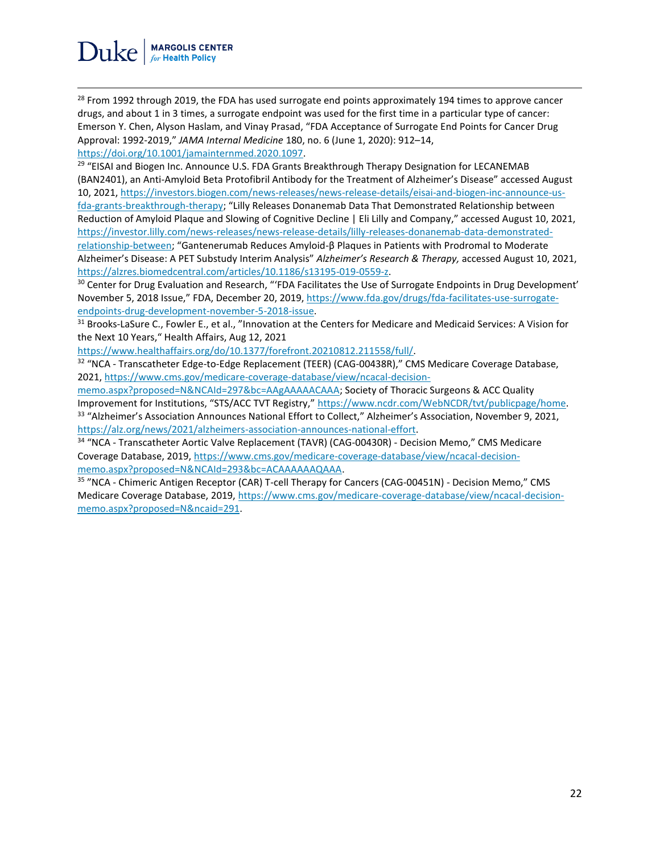<sup>28</sup> From 1992 through 2019, the FDA has used surrogate end points approximately 194 times to approve cancer drugs, and about 1 in 3 times, a surrogate endpoint was used for the first time in a particular type of cancer: Emerson Y. Chen, Alyson Haslam, and Vinay Prasad, "FDA Acceptance of Surrogate End Points for Cancer Drug Approval: 1992-2019," *JAMA Internal Medicine* 180, no. 6 (June 1, 2020): 912–14, [https://doi.org/10.1001/jamainternmed.2020.1097.](https://doi.org/10.1001/jamainternmed.2020.1097)

<sup>29</sup> "EISAI and Biogen Inc. Announce U.S. FDA Grants Breakthrough Therapy Designation for LECANEMAB (BAN2401), an Anti-Amyloid Beta Protofibril Antibody for the Treatment of Alzheimer's Disease" accessed August 10, 2021, [https://investors.biogen.com/news-releases/news-release-details/eisai-and-biogen-inc-announce-us](https://investors.biogen.com/news-releases/news-release-details/eisai-and-biogen-inc-announce-us-fda-grants-breakthrough-therapy)[fda-grants-breakthrough-therapy](https://investors.biogen.com/news-releases/news-release-details/eisai-and-biogen-inc-announce-us-fda-grants-breakthrough-therapy); "Lilly Releases Donanemab Data That Demonstrated Relationship between Reduction of Amyloid Plaque and Slowing of Cognitive Decline | Eli Lilly and Company," accessed August 10, 2021, [https://investor.lilly.com/news-releases/news-release-details/lilly-releases-donanemab-data-demonstrated-](https://investor.lilly.com/news-releases/news-release-details/lilly-releases-donanemab-data-demonstrated-relationship-between)

[relationship-between](https://investor.lilly.com/news-releases/news-release-details/lilly-releases-donanemab-data-demonstrated-relationship-between); "Gantenerumab Reduces Amyloid-β Plaques in Patients with Prodromal to Moderate Alzheimer's Disease: A PET Substudy Interim Analysis" *Alzheimer's Research & Therapy,* accessed August 10, 2021, [https://alzres.biomedcentral.com/articles/10.1186/s13195-019-0559-z.](https://alzres.biomedcentral.com/articles/10.1186/s13195-019-0559-z)

<sup>30</sup> Center for Drug Evaluation and Research, "'FDA Facilitates the Use of Surrogate Endpoints in Drug Development' November 5, 2018 Issue," FDA, December 20, 2019, [https://www.fda.gov/drugs/fda-facilitates-use-surrogate](https://www.fda.gov/drugs/fda-facilitates-use-surrogate-endpoints-drug-development-november-5-2018-issue)[endpoints-drug-development-november-5-2018-issue.](https://www.fda.gov/drugs/fda-facilitates-use-surrogate-endpoints-drug-development-november-5-2018-issue)

<sup>31</sup> Brooks-LaSure C., Fowler E., et al., "Innovation at the Centers for Medicare and Medicaid Services: A Vision for the Next 10 Years," Health Affairs, Aug 12, 2021

[https://www.healthaffairs.org/do/10.1377/forefront.20210812.211558/full/.](https://www.healthaffairs.org/do/10.1377/forefront.20210812.211558/full/)

<sup>32</sup> "NCA - Transcatheter Edge-to-Edge Replacement (TEER) (CAG-00438R)," CMS Medicare Coverage Database, 2021, [https://www.cms.gov/medicare-coverage-database/view/ncacal-decision-](https://www.cms.gov/medicare-coverage-database/view/ncacal-decision-memo.aspx?proposed=N&NCAId=297&bc=AAgAAAAACAAA)

[memo.aspx?proposed=N&NCAId=297&bc=AAgAAAAACAAA;](https://www.cms.gov/medicare-coverage-database/view/ncacal-decision-memo.aspx?proposed=N&NCAId=297&bc=AAgAAAAACAAA) Society of Thoracic Surgeons & ACC Quality Improvement for Institutions, "STS/ACC TVT Registry," [https://www.ncdr.com/WebNCDR/tvt/publicpage/home.](https://www.ncdr.com/WebNCDR/tvt/publicpage/home) <sup>33</sup> "Alzheimer's Association Announces National Effort to Collect," Alzheimer's Association, November 9, 2021, [https://alz.org/news/2021/alzheimers-association-announces-national-effort.](https://alz.org/news/2021/alzheimers-association-announces-national-effort)

<sup>34</sup> "NCA - Transcatheter Aortic Valve Replacement (TAVR) (CAG-00430R) - Decision Memo," CMS Medicare Coverage Database, 2019, [https://www.cms.gov/medicare-coverage-database/view/ncacal-decision](https://www.cms.gov/medicare-coverage-database/view/ncacal-decision-memo.aspx?proposed=N&NCAId=293&bc=ACAAAAAAQAAA)[memo.aspx?proposed=N&NCAId=293&bc=ACAAAAAAQAAA.](https://www.cms.gov/medicare-coverage-database/view/ncacal-decision-memo.aspx?proposed=N&NCAId=293&bc=ACAAAAAAQAAA) 

<sup>35</sup> "NCA - Chimeric Antigen Receptor (CAR) T-cell Therapy for Cancers (CAG-00451N) - Decision Memo," CMS Medicare Coverage Database, 2019, [https://www.cms.gov/medicare-coverage-database/view/ncacal-decision](https://www.cms.gov/medicare-coverage-database/view/ncacal-decision-memo.aspx?proposed=N&ncaid=291)[memo.aspx?proposed=N&ncaid=291.](https://www.cms.gov/medicare-coverage-database/view/ncacal-decision-memo.aspx?proposed=N&ncaid=291)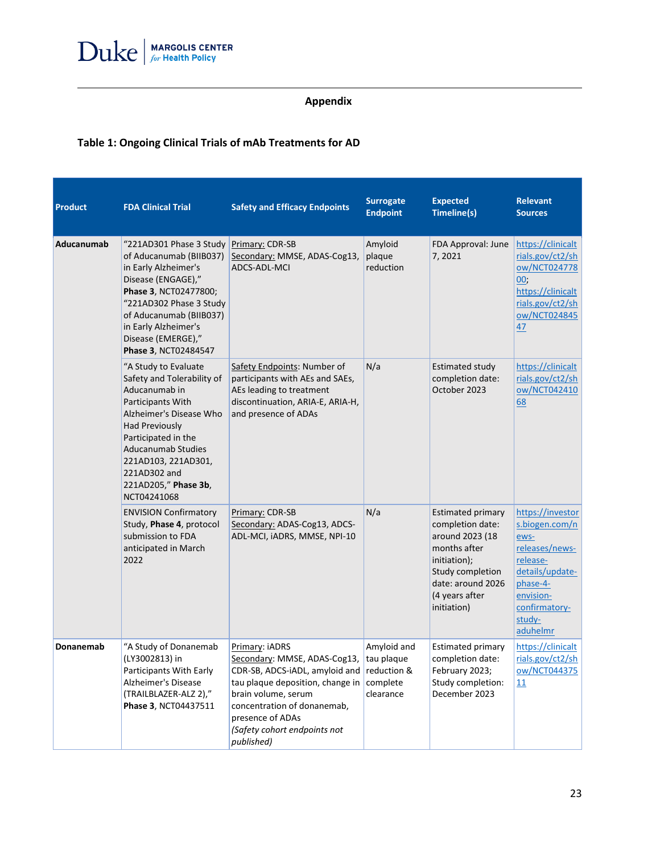

### **Appendix**

### **Table 1: Ongoing Clinical Trials of mAb Treatments for AD**

| Product    | <b>FDA Clinical Trial</b>                                                                                                                                                                                                                                                      | <b>Safety and Efficacy Endpoints</b>                                                                                                                                                                                                                     | <b>Surrogate</b><br><b>Endpoint</b>                | <b>Expected</b><br>Timeline(s)                                                                                                                                            | <b>Relevant</b><br><b>Sources</b>                                                                                                                           |
|------------|--------------------------------------------------------------------------------------------------------------------------------------------------------------------------------------------------------------------------------------------------------------------------------|----------------------------------------------------------------------------------------------------------------------------------------------------------------------------------------------------------------------------------------------------------|----------------------------------------------------|---------------------------------------------------------------------------------------------------------------------------------------------------------------------------|-------------------------------------------------------------------------------------------------------------------------------------------------------------|
| Aducanumab | "221AD301 Phase 3 Study<br>of Aducanumab (BIIB037)<br>in Early Alzheimer's<br>Disease (ENGAGE),"<br>Phase 3, NCT02477800;<br>"221AD302 Phase 3 Study<br>of Aducanumab (BIIB037)<br>in Early Alzheimer's<br>Disease (EMERGE),"<br>Phase 3, NCT02484547                          | Primary: CDR-SB<br>Secondary: MMSE, ADAS-Cog13,<br>ADCS-ADL-MCI                                                                                                                                                                                          | Amyloid<br>plaque<br>reduction                     | FDA Approval: June<br>7,2021                                                                                                                                              | https://clinicalt<br>rials.gov/ct2/sh<br>ow/NCT024778<br>00;<br>https://clinicalt<br>rials.gov/ct2/sh<br>ow/NCT024845<br>47                                 |
|            | "A Study to Evaluate<br>Safety and Tolerability of<br>Aducanumab in<br>Participants With<br>Alzheimer's Disease Who<br><b>Had Previously</b><br>Participated in the<br><b>Aducanumab Studies</b><br>221AD103, 221AD301,<br>221AD302 and<br>221AD205," Phase 3b,<br>NCT04241068 | Safety Endpoints: Number of<br>participants with AEs and SAEs,<br>AEs leading to treatment<br>discontinuation, ARIA-E, ARIA-H,<br>and presence of ADAs                                                                                                   | N/a                                                | <b>Estimated study</b><br>completion date:<br>October 2023                                                                                                                | https://clinicalt<br>rials.gov/ct2/sh<br>ow/NCT042410<br>68                                                                                                 |
|            | <b>ENVISION Confirmatory</b><br>Study, Phase 4, protocol<br>submission to FDA<br>anticipated in March<br>2022                                                                                                                                                                  | Primary: CDR-SB<br>Secondary: ADAS-Cog13, ADCS-<br>ADL-MCI, iADRS, MMSE, NPI-10                                                                                                                                                                          | N/a                                                | <b>Estimated primary</b><br>completion date:<br>around 2023 (18<br>months after<br>initiation);<br>Study completion<br>date: around 2026<br>(4 years after<br>initiation) | https://investor<br>s.biogen.com/n<br>ews-<br>releases/news-<br>release-<br>details/update-<br>phase-4-<br>envision-<br>confirmatory-<br>study-<br>aduhelmr |
| Donanemab  | "A Study of Donanemab<br>(LY3002813) in<br>Participants With Early<br>Alzheimer's Disease<br>(TRAILBLAZER-ALZ 2),"<br>Phase 3, NCT04437511                                                                                                                                     | Primary: iADRS<br>Secondary: MMSE, ADAS-Cog13,<br>CDR-SB, ADCS-iADL, amyloid and reduction &<br>tau plaque deposition, change in<br>brain volume, serum<br>concentration of donanemab,<br>presence of ADAs<br>(Safety cohort endpoints not<br>published) | Amyloid and<br>tau plaque<br>complete<br>clearance | <b>Estimated primary</b><br>completion date:<br>February 2023;<br>Study completion:<br>December 2023                                                                      | https://clinicalt<br>rials.gov/ct2/sh<br>ow/NCT044375<br>11                                                                                                 |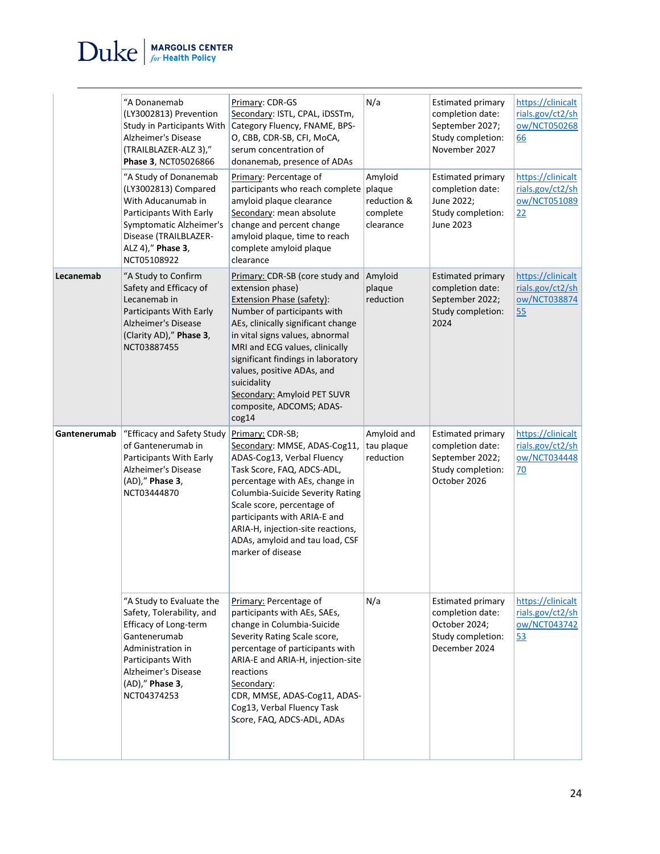$\text{Duke}$  | MARGOLIS CENTER

|              | "A Donanemab<br>(LY3002813) Prevention<br>Study in Participants With<br>Alzheimer's Disease<br>(TRAILBLAZER-ALZ 3),"<br>Phase 3, NCT05026866<br>"A Study of Donanemab<br>(LY3002813) Compared<br>With Aducanumab in<br>Participants With Early<br>Symptomatic Alzheimer's<br>Disease (TRAILBLAZER-<br>ALZ 4)," Phase 3,<br>NCT05108922 | Primary: CDR-GS<br>Secondary: ISTL, CPAL, iDSSTm,<br>Category Fluency, FNAME, BPS-<br>O, CBB, CDR-SB, CFI, MoCA,<br>serum concentration of<br>donanemab, presence of ADAs<br>Primary: Percentage of<br>participants who reach complete plaque<br>amyloid plaque clearance<br>Secondary: mean absolute<br>change and percent change<br>amyloid plaque, time to reach<br>complete amyloid plaque<br>clearance | N/a<br>Amyloid<br>reduction &<br>complete<br>clearance | <b>Estimated primary</b><br>completion date:<br>September 2027;<br>Study completion:<br>November 2027<br><b>Estimated primary</b><br>completion date:<br>June 2022;<br>Study completion:<br><b>June 2023</b> | https://clinicalt<br>rials.gov/ct2/sh<br>ow/NCT050268<br>66<br>https://clinicalt<br>rials.gov/ct2/sh<br>ow/NCT051089<br>22 |
|--------------|----------------------------------------------------------------------------------------------------------------------------------------------------------------------------------------------------------------------------------------------------------------------------------------------------------------------------------------|-------------------------------------------------------------------------------------------------------------------------------------------------------------------------------------------------------------------------------------------------------------------------------------------------------------------------------------------------------------------------------------------------------------|--------------------------------------------------------|--------------------------------------------------------------------------------------------------------------------------------------------------------------------------------------------------------------|----------------------------------------------------------------------------------------------------------------------------|
| Lecanemab    | "A Study to Confirm<br>Safety and Efficacy of<br>Lecanemab in<br>Participants With Early<br><b>Alzheimer's Disease</b><br>(Clarity AD)," Phase 3,<br>NCT03887455                                                                                                                                                                       | Primary: CDR-SB (core study and<br>extension phase)<br><b>Extension Phase (safety):</b><br>Number of participants with<br>AEs, clinically significant change<br>in vital signs values, abnormal<br>MRI and ECG values, clinically<br>significant findings in laboratory<br>values, positive ADAs, and<br>suicidality<br>Secondary: Amyloid PET SUVR<br>composite, ADCOMS; ADAS-<br>cog14                    | Amyloid<br>plaque<br>reduction                         | <b>Estimated primary</b><br>completion date:<br>September 2022;<br>Study completion:<br>2024                                                                                                                 | https://clinicalt<br>rials.gov/ct2/sh<br>ow/NCT038874<br>55                                                                |
| Gantenerumab | "Efficacy and Safety Study<br>of Gantenerumab in<br>Participants With Early<br>Alzheimer's Disease<br>(AD)," Phase 3,<br>NCT03444870                                                                                                                                                                                                   | Primary: CDR-SB;<br>Secondary: MMSE, ADAS-Cog11,<br>ADAS-Cog13, Verbal Fluency<br>Task Score, FAQ, ADCS-ADL,<br>percentage with AEs, change in<br>Columbia-Suicide Severity Rating<br>Scale score, percentage of<br>participants with ARIA-E and<br>ARIA-H, injection-site reactions,<br>ADAs, amyloid and tau load, CSF<br>marker of disease                                                               | Amyloid and<br>tau plaque<br>reduction                 | <b>Estimated primary</b><br>completion date:<br>September 2022;<br>Study completion:<br>October 2026                                                                                                         | https://clinicalt<br>rials.gov/ct2/sh<br>ow/NCT034448<br>70                                                                |
|              | "A Study to Evaluate the<br>Safety, Tolerability, and<br>Efficacy of Long-term<br>Gantenerumab<br>Administration in<br>Participants With<br>Alzheimer's Disease<br>(AD)," Phase 3,<br>NCT04374253                                                                                                                                      | Primary: Percentage of<br>participants with AEs, SAEs,<br>change in Columbia-Suicide<br>Severity Rating Scale score,<br>percentage of participants with<br>ARIA-E and ARIA-H, injection-site<br>reactions<br>Secondary:<br>CDR, MMSE, ADAS-Cog11, ADAS-<br>Cog13, Verbal Fluency Task<br>Score, FAQ, ADCS-ADL, ADAs                                                                                         | N/a                                                    | <b>Estimated primary</b><br>completion date:<br>October 2024;<br>Study completion:<br>December 2024                                                                                                          | https://clinicalt<br>rials.gov/ct2/sh<br>ow/NCT043742<br>53                                                                |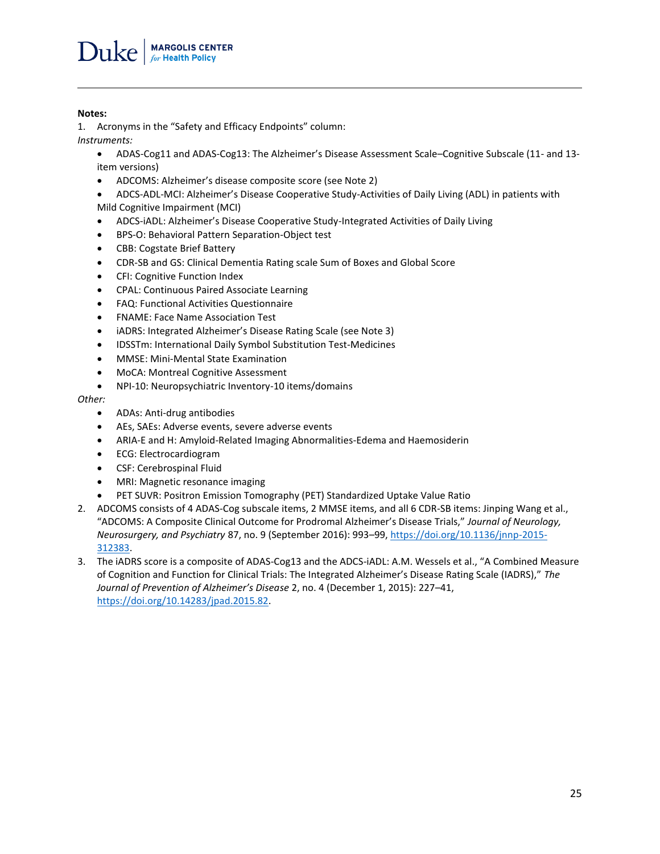#### **Notes:**

 $\overline{a}$ 

1. Acronyms in the "Safety and Efficacy Endpoints" column: *Instruments:*

- ADAS-Cog11 and ADAS-Cog13: The Alzheimer's Disease Assessment Scale–Cognitive Subscale (11- and 13 item versions)
	- ADCOMS: Alzheimer's disease composite score (see Note 2)
	- ADCS-ADL-MCI: Alzheimer's Disease Cooperative Study-Activities of Daily Living (ADL) in patients with Mild Cognitive Impairment (MCI)
	- ADCS-iADL: Alzheimer's Disease Cooperative Study-Integrated Activities of Daily Living
	- BPS-O: Behavioral Pattern Separation-Object test
	- CBB: Cogstate Brief Battery
	- CDR-SB and GS: Clinical Dementia Rating scale Sum of Boxes and Global Score
	- CFI: Cognitive Function Index
	- CPAL: Continuous Paired Associate Learning
	- FAQ: Functional Activities Questionnaire
	- FNAME: Face Name Association Test
	- iADRS: Integrated Alzheimer's Disease Rating Scale (see Note 3)
	- IDSSTm: International Daily Symbol Substitution Test-Medicines
	- MMSE: Mini-Mental State Examination
	- MoCA: Montreal Cognitive Assessment
	- NPI-10: Neuropsychiatric Inventory-10 items/domains

#### *Other:*

- ADAs: Anti-drug antibodies
- AEs, SAEs: Adverse events, severe adverse events
- ARIA-E and H: Amyloid-Related Imaging Abnormalities-Edema and Haemosiderin
- ECG: Electrocardiogram
- CSF: Cerebrospinal Fluid
- MRI: Magnetic resonance imaging
- PET SUVR: Positron Emission Tomography (PET) Standardized Uptake Value Ratio
- 2. ADCOMS consists of 4 ADAS-Cog subscale items, 2 MMSE items, and all 6 CDR-SB items: Jinping Wang et al., "ADCOMS: A Composite Clinical Outcome for Prodromal Alzheimer's Disease Trials," *Journal of Neurology, Neurosurgery, and Psychiatry* 87, no. 9 (September 2016): 993–99[, https://doi.org/10.1136/jnnp-2015-](https://doi.org/10.1136/jnnp-2015-312383) [312383.](https://doi.org/10.1136/jnnp-2015-312383)
- 3. The iADRS score is a composite of ADAS-Cog13 and the ADCS-iADL: A.M. Wessels et al., "A Combined Measure of Cognition and Function for Clinical Trials: The Integrated Alzheimer's Disease Rating Scale (IADRS)," *The Journal of Prevention of Alzheimer's Disease* 2, no. 4 (December 1, 2015): 227–41, [https://doi.org/10.14283/jpad.2015.82.](https://doi.org/10.14283/jpad.2015.82)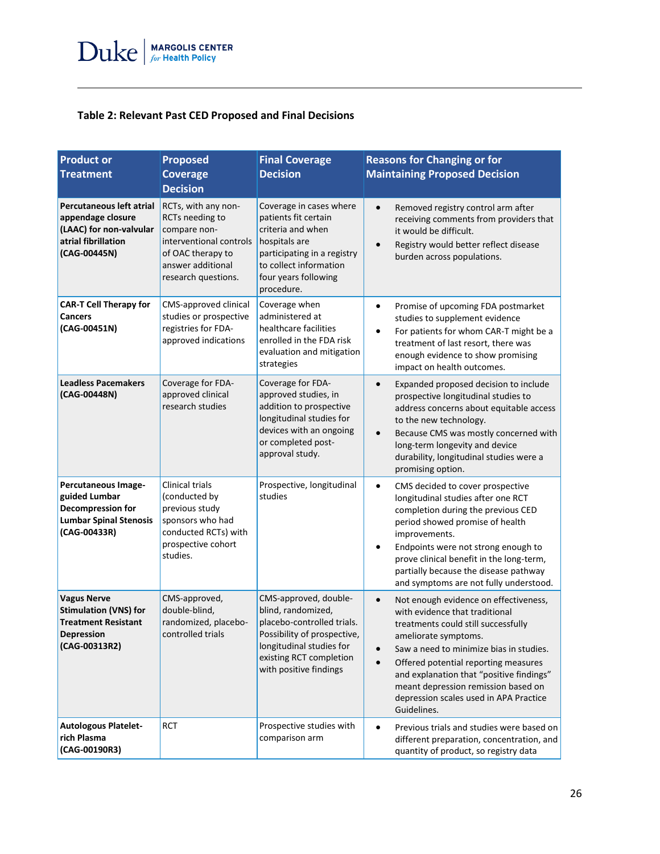### **Table 2: Relevant Past CED Proposed and Final Decisions**

| <b>Product or</b><br><b>Treatment</b>                                                                                  | <b>Proposed</b><br><b>Coverage</b><br><b>Decision</b>                                                                                              | <b>Final Coverage</b><br><b>Decision</b>                                                                                                                                                  | <b>Reasons for Changing or for</b><br><b>Maintaining Proposed Decision</b>                                                                                                                                                                                                                                                                                                         |
|------------------------------------------------------------------------------------------------------------------------|----------------------------------------------------------------------------------------------------------------------------------------------------|-------------------------------------------------------------------------------------------------------------------------------------------------------------------------------------------|------------------------------------------------------------------------------------------------------------------------------------------------------------------------------------------------------------------------------------------------------------------------------------------------------------------------------------------------------------------------------------|
| Percutaneous left atrial<br>appendage closure<br>(LAAC) for non-valvular<br>atrial fibrillation<br>(CAG-00445N)        | RCTs, with any non-<br>RCTs needing to<br>compare non-<br>interventional controls<br>of OAC therapy to<br>answer additional<br>research questions. | Coverage in cases where<br>patients fit certain<br>criteria and when<br>hospitals are<br>participating in a registry<br>to collect information<br>four years following<br>procedure.      | Removed registry control arm after<br>$\bullet$<br>receiving comments from providers that<br>it would be difficult.<br>Registry would better reflect disease<br>$\bullet$<br>burden across populations.                                                                                                                                                                            |
| <b>CAR-T Cell Therapy for</b><br><b>Cancers</b><br>(CAG-00451N)                                                        | CMS-approved clinical<br>studies or prospective<br>registries for FDA-<br>approved indications                                                     | Coverage when<br>administered at<br>healthcare facilities<br>enrolled in the FDA risk<br>evaluation and mitigation<br>strategies                                                          | Promise of upcoming FDA postmarket<br>$\bullet$<br>studies to supplement evidence<br>For patients for whom CAR-T might be a<br>treatment of last resort, there was<br>enough evidence to show promising<br>impact on health outcomes.                                                                                                                                              |
| <b>Leadless Pacemakers</b><br>(CAG-00448N)                                                                             | Coverage for FDA-<br>approved clinical<br>research studies                                                                                         | Coverage for FDA-<br>approved studies, in<br>addition to prospective<br>longitudinal studies for<br>devices with an ongoing<br>or completed post-<br>approval study.                      | Expanded proposed decision to include<br>$\bullet$<br>prospective longitudinal studies to<br>address concerns about equitable access<br>to the new technology.<br>Because CMS was mostly concerned with<br>$\bullet$<br>long-term longevity and device<br>durability, longitudinal studies were a<br>promising option.                                                             |
| Percutaneous Image-<br>guided Lumbar<br>Decompression for<br><b>Lumbar Spinal Stenosis</b><br>(CAG-00433R)             | <b>Clinical trials</b><br>(conducted by<br>previous study<br>sponsors who had<br>conducted RCTs) with<br>prospective cohort<br>studies.            | Prospective, longitudinal<br>studies                                                                                                                                                      | $\bullet$<br>CMS decided to cover prospective<br>longitudinal studies after one RCT<br>completion during the previous CED<br>period showed promise of health<br>improvements.<br>Endpoints were not strong enough to<br>prove clinical benefit in the long-term,<br>partially because the disease pathway<br>and symptoms are not fully understood.                                |
| <b>Vagus Nerve</b><br><b>Stimulation (VNS) for</b><br><b>Treatment Resistant</b><br><b>Depression</b><br>(CAG-00313R2) | CMS-approved,<br>double-blind,<br>randomized, placebo-<br>controlled trials                                                                        | CMS-approved, double-<br>blind, randomized,<br>placebo-controlled trials.<br>Possibility of prospective,<br>longitudinal studies for<br>existing RCT completion<br>with positive findings | Not enough evidence on effectiveness,<br>$\bullet$<br>with evidence that traditional<br>treatments could still successfully<br>ameliorate symptoms.<br>Saw a need to minimize bias in studies.<br>Offered potential reporting measures<br>and explanation that "positive findings"<br>meant depression remission based on<br>depression scales used in APA Practice<br>Guidelines. |
| <b>Autologous Platelet-</b><br>rich Plasma<br>(CAG-00190R3)                                                            | RCT                                                                                                                                                | Prospective studies with<br>comparison arm                                                                                                                                                | Previous trials and studies were based on<br>different preparation, concentration, and<br>quantity of product, so registry data                                                                                                                                                                                                                                                    |